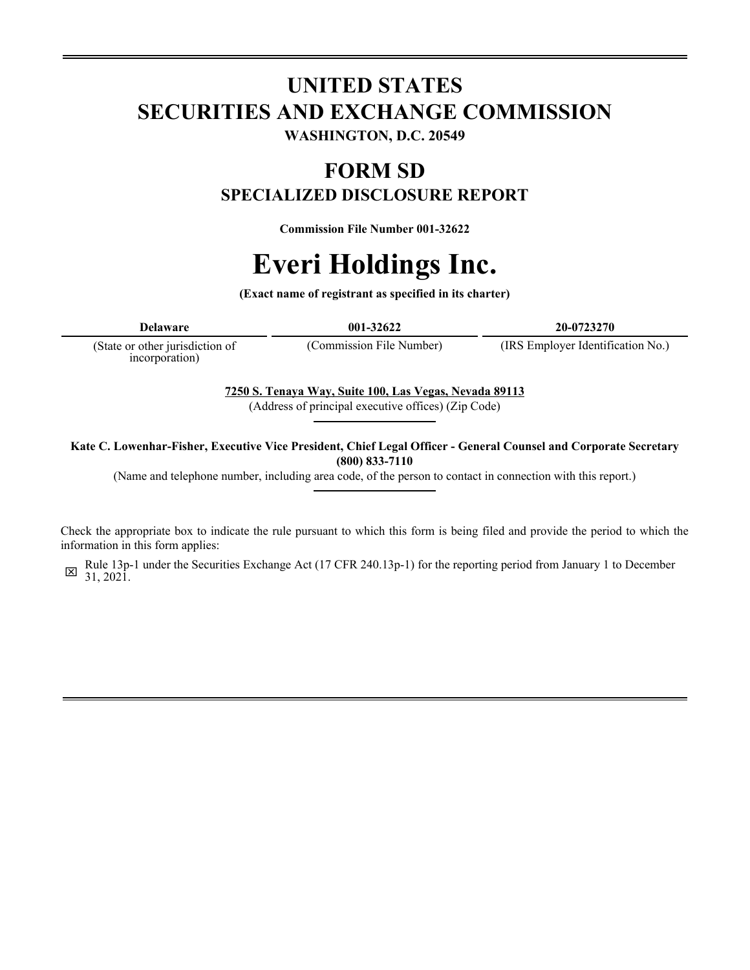# **UNITED STATES SECURITIES AND EXCHANGE COMMISSION WASHINGTON, D.C. 20549**

## **FORM SD SPECIALIZED DISCLOSURE REPORT**

**Commission File Number 001-32622**

# **Everi Holdings Inc.**

**(Exact name of registrant as specified in its charter)**

**Delaware 001-32622 20-0723270**

(State or other jurisdiction of incorporation)

(Commission File Number) (IRS Employer Identification No.)

**7250 S. Tenaya Way, Suite 100, Las Vegas, Nevada 89113**

(Address of principal executive offices) (Zip Code)

**Kate C. Lowenhar-Fisher, Executive Vice President, Chief Legal Officer - General Counsel and Corporate Secretary (800) 833-7110**

(Name and telephone number, including area code, of the person to contact in connection with this report.)

Check the appropriate box to indicate the rule pursuant to which this form is being filed and provide the period to which the information in this form applies:

x Rule 13p-1 under the Securities Exchange Act (17 CFR 240.13p-1) for the reporting period from January 1 to December 31, 2021.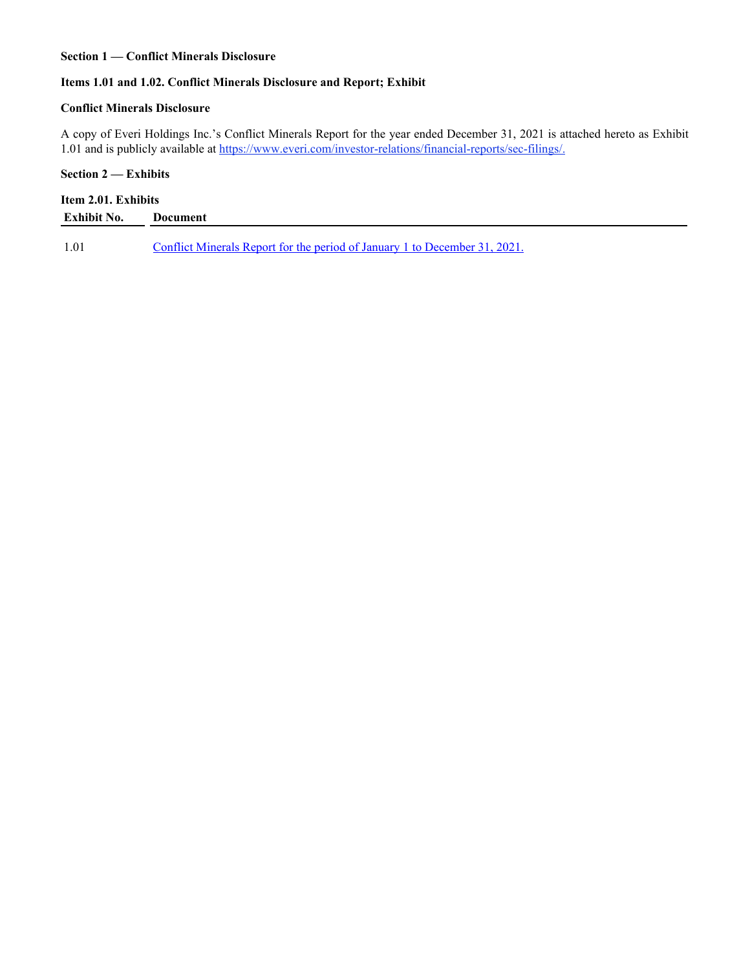#### **Section 1 — Conflict Minerals Disclosure**

#### **Items 1.01 and 1.02. Conflict Minerals Disclosure and Report; Exhibit**

#### **Conflict Minerals Disclosure**

A copy of Everi Holdings Inc.'s Conflict Minerals Report for the year ended December 31, 2021 is attached hereto as Exhibit 1.01 and is publicly available at https://www.everi.com/investor-relations/financial-reports/sec-filings/.

#### **Section 2 — Exhibits**

### **Item 2.01. Exhibits**

| <b>Exhibit No.</b> | Document                                                                   |
|--------------------|----------------------------------------------------------------------------|
|                    |                                                                            |
| 1.01               | Conflict Minerals Report for the period of January 1 to December 31, 2021. |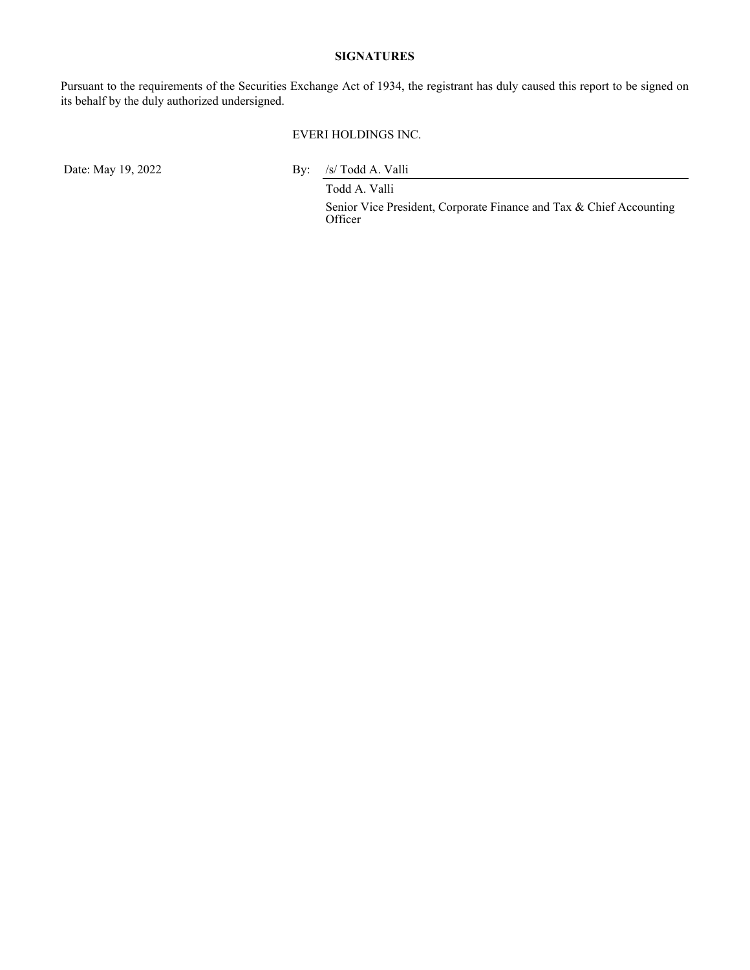#### **SIGNATURES**

Pursuant to the requirements of the Securities Exchange Act of 1934, the registrant has duly caused this report to be signed on its behalf by the duly authorized undersigned.

#### EVERI HOLDINGS INC.

Date: May 19, 2022 By: /s/ Todd A. Valli Todd A. Valli

> Senior Vice President, Corporate Finance and Tax & Chief Accounting Officer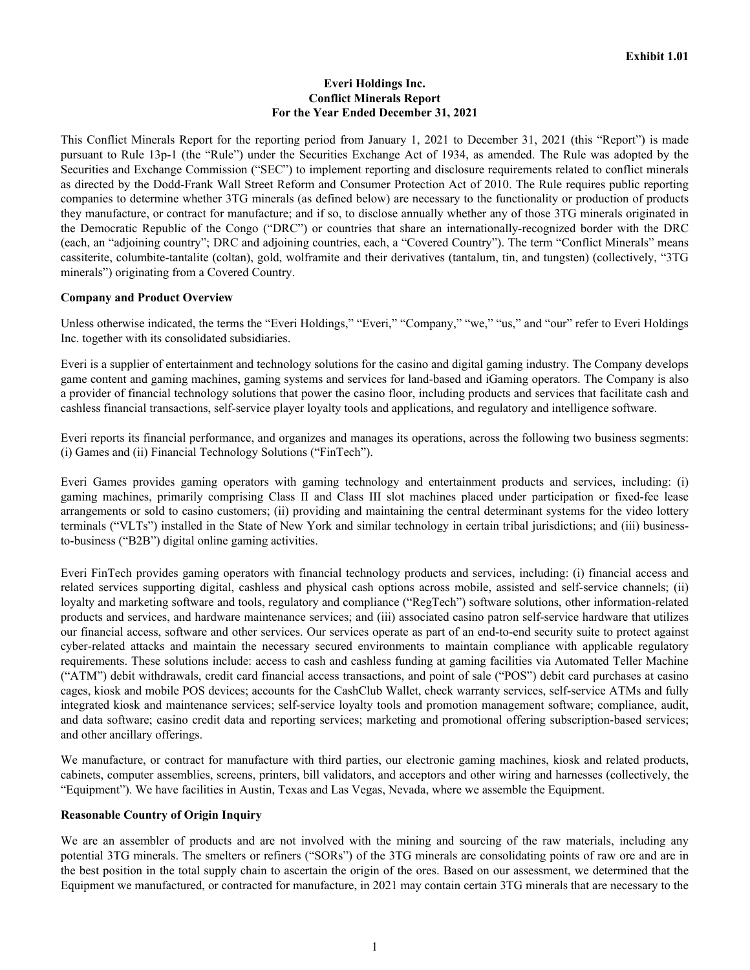#### **Everi Holdings Inc. Conflict Minerals Report For the Year Ended December 31, 2021**

This Conflict Minerals Report for the reporting period from January 1, 2021 to December 31, 2021 (this "Report") is made pursuant to Rule 13p-1 (the "Rule") under the Securities Exchange Act of 1934, as amended. The Rule was adopted by the Securities and Exchange Commission ("SEC") to implement reporting and disclosure requirements related to conflict minerals as directed by the Dodd-Frank Wall Street Reform and Consumer Protection Act of 2010. The Rule requires public reporting companies to determine whether 3TG minerals (as defined below) are necessary to the functionality or production of products they manufacture, or contract for manufacture; and if so, to disclose annually whether any of those 3TG minerals originated in the Democratic Republic of the Congo ("DRC") or countries that share an internationally-recognized border with the DRC (each, an "adjoining country"; DRC and adjoining countries, each, a "Covered Country"). The term "Conflict Minerals" means cassiterite, columbite-tantalite (coltan), gold, wolframite and their derivatives (tantalum, tin, and tungsten) (collectively, "3TG minerals") originating from a Covered Country.

#### **Company and Product Overview**

Unless otherwise indicated, the terms the "Everi Holdings," "Everi," "Company," "we," "us," and "our" refer to Everi Holdings Inc. together with its consolidated subsidiaries.

Everi is a supplier of entertainment and technology solutions for the casino and digital gaming industry. The Company develops game content and gaming machines, gaming systems and services for land-based and iGaming operators. The Company is also a provider of financial technology solutions that power the casino floor, including products and services that facilitate cash and cashless financial transactions, self-service player loyalty tools and applications, and regulatory and intelligence software.

Everi reports its financial performance, and organizes and manages its operations, across the following two business segments: (i) Games and (ii) Financial Technology Solutions ("FinTech").

Everi Games provides gaming operators with gaming technology and entertainment products and services, including: (i) gaming machines, primarily comprising Class II and Class III slot machines placed under participation or fixed-fee lease arrangements or sold to casino customers; (ii) providing and maintaining the central determinant systems for the video lottery terminals ("VLTs") installed in the State of New York and similar technology in certain tribal jurisdictions; and (iii) businessto-business ("B2B") digital online gaming activities.

Everi FinTech provides gaming operators with financial technology products and services, including: (i) financial access and related services supporting digital, cashless and physical cash options across mobile, assisted and self-service channels; (ii) loyalty and marketing software and tools, regulatory and compliance ("RegTech") software solutions, other information-related products and services, and hardware maintenance services; and (iii) associated casino patron self-service hardware that utilizes our financial access, software and other services. Our services operate as part of an end-to-end security suite to protect against cyber-related attacks and maintain the necessary secured environments to maintain compliance with applicable regulatory requirements. These solutions include: access to cash and cashless funding at gaming facilities via Automated Teller Machine ("ATM") debit withdrawals, credit card financial access transactions, and point of sale ("POS") debit card purchases at casino cages, kiosk and mobile POS devices; accounts for the CashClub Wallet, check warranty services, self-service ATMs and fully integrated kiosk and maintenance services; self-service loyalty tools and promotion management software; compliance, audit, and data software; casino credit data and reporting services; marketing and promotional offering subscription-based services; and other ancillary offerings.

We manufacture, or contract for manufacture with third parties, our electronic gaming machines, kiosk and related products, cabinets, computer assemblies, screens, printers, bill validators, and acceptors and other wiring and harnesses (collectively, the "Equipment"). We have facilities in Austin, Texas and Las Vegas, Nevada, where we assemble the Equipment.

#### **Reasonable Country of Origin Inquiry**

We are an assembler of products and are not involved with the mining and sourcing of the raw materials, including any potential 3TG minerals. The smelters or refiners ("SORs") of the 3TG minerals are consolidating points of raw ore and are in the best position in the total supply chain to ascertain the origin of the ores. Based on our assessment, we determined that the Equipment we manufactured, or contracted for manufacture, in 2021 may contain certain 3TG minerals that are necessary to the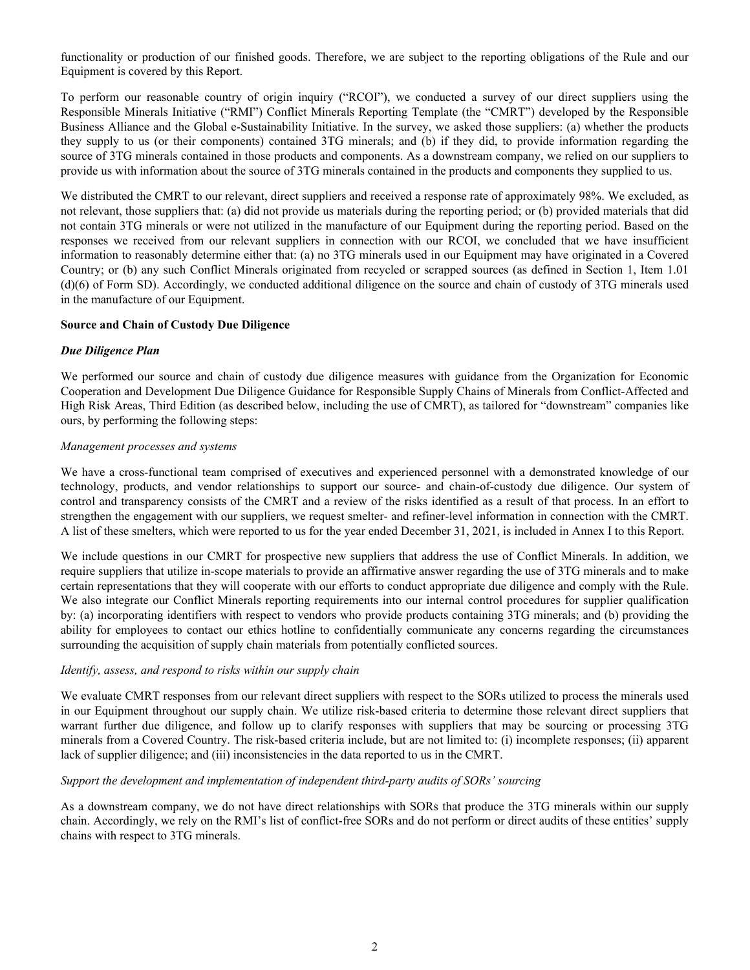functionality or production of our finished goods. Therefore, we are subject to the reporting obligations of the Rule and our Equipment is covered by this Report.

To perform our reasonable country of origin inquiry ("RCOI"), we conducted a survey of our direct suppliers using the Responsible Minerals Initiative ("RMI") Conflict Minerals Reporting Template (the "CMRT") developed by the Responsible Business Alliance and the Global e-Sustainability Initiative. In the survey, we asked those suppliers: (a) whether the products they supply to us (or their components) contained 3TG minerals; and (b) if they did, to provide information regarding the source of 3TG minerals contained in those products and components. As a downstream company, we relied on our suppliers to provide us with information about the source of 3TG minerals contained in the products and components they supplied to us.

We distributed the CMRT to our relevant, direct suppliers and received a response rate of approximately 98%. We excluded, as not relevant, those suppliers that: (a) did not provide us materials during the reporting period; or (b) provided materials that did not contain 3TG minerals or were not utilized in the manufacture of our Equipment during the reporting period. Based on the responses we received from our relevant suppliers in connection with our RCOI, we concluded that we have insufficient information to reasonably determine either that: (a) no 3TG minerals used in our Equipment may have originated in a Covered Country; or (b) any such Conflict Minerals originated from recycled or scrapped sources (as defined in Section 1, Item 1.01 (d)(6) of Form SD). Accordingly, we conducted additional diligence on the source and chain of custody of 3TG minerals used in the manufacture of our Equipment.

#### **Source and Chain of Custody Due Diligence**

#### *Due Diligence Plan*

We performed our source and chain of custody due diligence measures with guidance from the Organization for Economic Cooperation and Development Due Diligence Guidance for Responsible Supply Chains of Minerals from Conflict-Affected and High Risk Areas, Third Edition (as described below, including the use of CMRT), as tailored for "downstream" companies like ours, by performing the following steps:

#### *Management processes and systems*

We have a cross-functional team comprised of executives and experienced personnel with a demonstrated knowledge of our technology, products, and vendor relationships to support our source- and chain-of-custody due diligence. Our system of control and transparency consists of the CMRT and a review of the risks identified as a result of that process. In an effort to strengthen the engagement with our suppliers, we request smelter- and refiner-level information in connection with the CMRT. A list of these smelters, which were reported to us for the year ended December 31, 2021, is included in Annex I to this Report.

We include questions in our CMRT for prospective new suppliers that address the use of Conflict Minerals. In addition, we require suppliers that utilize in-scope materials to provide an affirmative answer regarding the use of 3TG minerals and to make certain representations that they will cooperate with our efforts to conduct appropriate due diligence and comply with the Rule. We also integrate our Conflict Minerals reporting requirements into our internal control procedures for supplier qualification by: (a) incorporating identifiers with respect to vendors who provide products containing 3TG minerals; and (b) providing the ability for employees to contact our ethics hotline to confidentially communicate any concerns regarding the circumstances surrounding the acquisition of supply chain materials from potentially conflicted sources.

#### *Identify, assess, and respond to risks within our supply chain*

We evaluate CMRT responses from our relevant direct suppliers with respect to the SORs utilized to process the minerals used in our Equipment throughout our supply chain. We utilize risk-based criteria to determine those relevant direct suppliers that warrant further due diligence, and follow up to clarify responses with suppliers that may be sourcing or processing 3TG minerals from a Covered Country. The risk-based criteria include, but are not limited to: (i) incomplete responses; (ii) apparent lack of supplier diligence; and (iii) inconsistencies in the data reported to us in the CMRT.

#### *Support the development and implementation of independent third-party audits of SORs' sourcing*

As a downstream company, we do not have direct relationships with SORs that produce the 3TG minerals within our supply chain. Accordingly, we rely on the RMI's list of conflict-free SORs and do not perform or direct audits of these entities' supply chains with respect to 3TG minerals.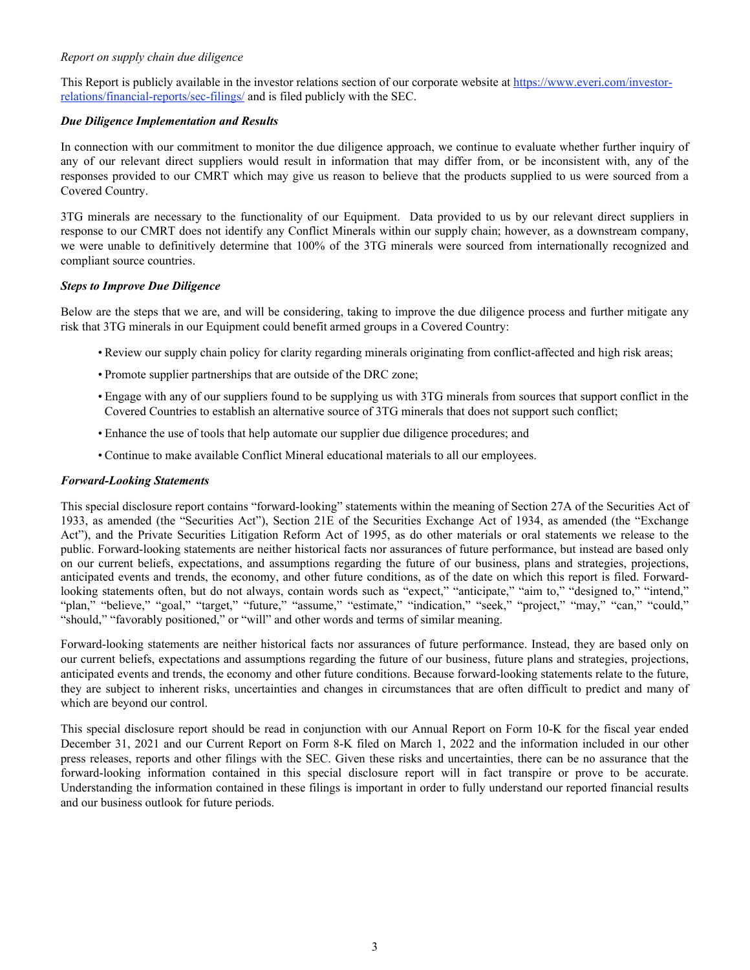#### *Report on supply chain due diligence*

This Report is publicly available in the investor relations section of our corporate website at https://www.everi.com/investorrelations/financial-reports/sec-filings/ and is filed publicly with the SEC.

#### *Due Diligence Implementation and Results*

In connection with our commitment to monitor the due diligence approach, we continue to evaluate whether further inquiry of any of our relevant direct suppliers would result in information that may differ from, or be inconsistent with, any of the responses provided to our CMRT which may give us reason to believe that the products supplied to us were sourced from a Covered Country.

3TG minerals are necessary to the functionality of our Equipment. Data provided to us by our relevant direct suppliers in response to our CMRT does not identify any Conflict Minerals within our supply chain; however, as a downstream company, we were unable to definitively determine that 100% of the 3TG minerals were sourced from internationally recognized and compliant source countries.

#### *Steps to Improve Due Diligence*

Below are the steps that we are, and will be considering, taking to improve the due diligence process and further mitigate any risk that 3TG minerals in our Equipment could benefit armed groups in a Covered Country:

- Review our supply chain policy for clarity regarding minerals originating from conflict-affected and high risk areas;
- •Promote supplier partnerships that are outside of the DRC zone;
- Engage with any of our suppliers found to be supplying us with 3TG minerals from sources that support conflict in the Covered Countries to establish an alternative source of 3TG minerals that does not support such conflict;
- Enhance the use of tools that help automate our supplier due diligence procedures; and
- Continue to make available Conflict Mineral educational materials to all our employees.

#### *Forward-Looking Statements*

This special disclosure report contains "forward-looking" statements within the meaning of Section 27A of the Securities Act of 1933, as amended (the "Securities Act"), Section 21E of the Securities Exchange Act of 1934, as amended (the "Exchange Act"), and the Private Securities Litigation Reform Act of 1995, as do other materials or oral statements we release to the public. Forward-looking statements are neither historical facts nor assurances of future performance, but instead are based only on our current beliefs, expectations, and assumptions regarding the future of our business, plans and strategies, projections, anticipated events and trends, the economy, and other future conditions, as of the date on which this report is filed. Forwardlooking statements often, but do not always, contain words such as "expect," "anticipate," "aim to," "designed to," "intend," "plan," "believe," "goal," "target," "future," "assume," "estimate," "indication," "seek," "project," "may," "can," "could," "should," "favorably positioned," or "will" and other words and terms of similar meaning.

Forward-looking statements are neither historical facts nor assurances of future performance. Instead, they are based only on our current beliefs, expectations and assumptions regarding the future of our business, future plans and strategies, projections, anticipated events and trends, the economy and other future conditions. Because forward-looking statements relate to the future, they are subject to inherent risks, uncertainties and changes in circumstances that are often difficult to predict and many of which are beyond our control.

This special disclosure report should be read in conjunction with our Annual Report on Form 10-K for the fiscal year ended December 31, 2021 and our Current Report on Form 8-K filed on March 1, 2022 and the information included in our other press releases, reports and other filings with the SEC. Given these risks and uncertainties, there can be no assurance that the forward-looking information contained in this special disclosure report will in fact transpire or prove to be accurate. Understanding the information contained in these filings is important in order to fully understand our reported financial results and our business outlook for future periods.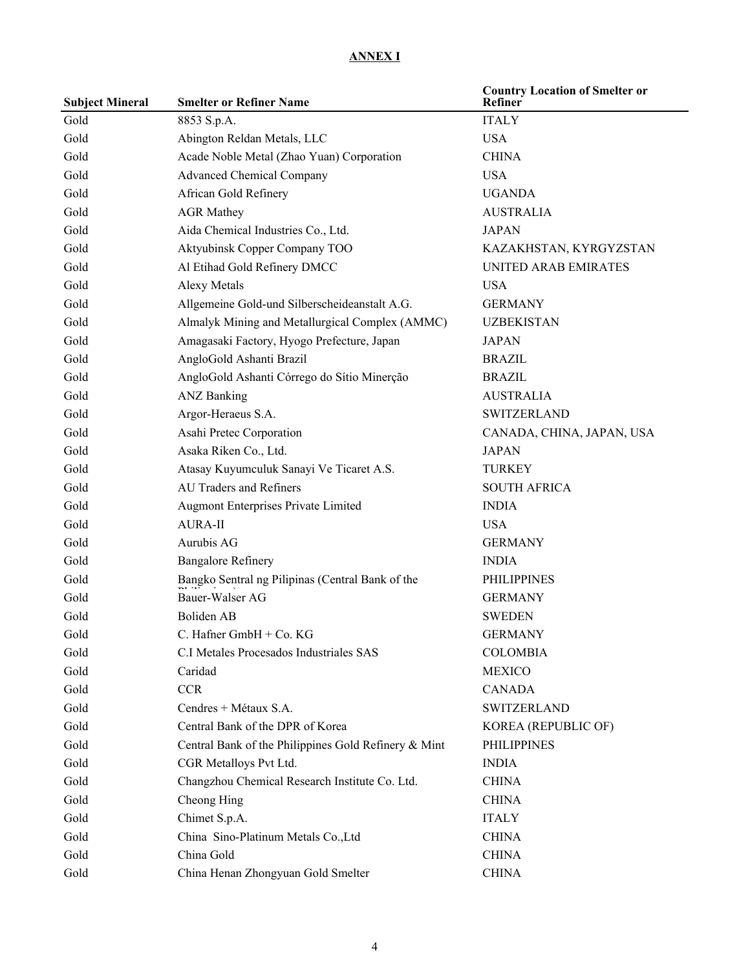## **ANNEX I**

| <b>Subject Mineral</b> | <b>Smelter or Refiner Name</b>                       | <b>Country Location of Smelter or</b><br>Refiner |
|------------------------|------------------------------------------------------|--------------------------------------------------|
| Gold                   | 8853 S.p.A.                                          | <b>ITALY</b>                                     |
| Gold                   | Abington Reldan Metals, LLC                          | <b>USA</b>                                       |
| Gold                   | Acade Noble Metal (Zhao Yuan) Corporation            | <b>CHINA</b>                                     |
| Gold                   | <b>Advanced Chemical Company</b>                     | <b>USA</b>                                       |
| Gold                   | African Gold Refinery                                | <b>UGANDA</b>                                    |
| Gold                   | <b>AGR Mathey</b>                                    | <b>AUSTRALIA</b>                                 |
| Gold                   | Aida Chemical Industries Co., Ltd.                   | <b>JAPAN</b>                                     |
| Gold                   | Aktyubinsk Copper Company TOO                        | KAZAKHSTAN, KYRGYZSTAN                           |
| Gold                   | Al Etihad Gold Refinery DMCC                         | <b>UNITED ARAB EMIRATES</b>                      |
| Gold                   | <b>Alexy Metals</b>                                  | <b>USA</b>                                       |
| Gold                   | Allgemeine Gold-und Silberscheideanstalt A.G.        | <b>GERMANY</b>                                   |
| Gold                   | Almalyk Mining and Metallurgical Complex (AMMC)      | <b>UZBEKISTAN</b>                                |
| Gold                   | Amagasaki Factory, Hyogo Prefecture, Japan           | <b>JAPAN</b>                                     |
| Gold                   | AngloGold Ashanti Brazil                             | <b>BRAZIL</b>                                    |
| Gold                   | AngloGold Ashanti Córrego do Sítio Minerção          | <b>BRAZIL</b>                                    |
| Gold                   | <b>ANZ Banking</b>                                   | <b>AUSTRALIA</b>                                 |
| Gold                   | Argor-Heraeus S.A.                                   | <b>SWITZERLAND</b>                               |
| Gold                   | Asahi Pretec Corporation                             | CANADA, CHINA, JAPAN, USA                        |
| Gold                   | Asaka Riken Co., Ltd.                                | <b>JAPAN</b>                                     |
| Gold                   | Atasay Kuyumculuk Sanayi Ve Ticaret A.S.             | <b>TURKEY</b>                                    |
| Gold                   | <b>AU Traders and Refiners</b>                       | <b>SOUTH AFRICA</b>                              |
| Gold                   | Augmont Enterprises Private Limited                  | <b>INDIA</b>                                     |
| Gold                   | <b>AURA-II</b>                                       | <b>USA</b>                                       |
| Gold                   | Aurubis AG                                           | <b>GERMANY</b>                                   |
| Gold                   | <b>Bangalore Refinery</b>                            | <b>INDIA</b>                                     |
| Gold                   | Bangko Sentral ng Pilipinas (Central Bank of the     | <b>PHILIPPINES</b>                               |
| Gold                   | Bauer-Walser AG                                      | <b>GERMANY</b>                                   |
| Gold                   | <b>Boliden AB</b>                                    | <b>SWEDEN</b>                                    |
| Gold                   | C. Hafner $GmbH + Co. KG$                            | <b>GERMANY</b>                                   |
| Gold                   | C.I Metales Procesados Industriales SAS              | <b>COLOMBIA</b>                                  |
| Gold                   | Caridad                                              | <b>MEXICO</b>                                    |
| Gold                   | <b>CCR</b>                                           | <b>CANADA</b>                                    |
| Gold                   | Cendres + Métaux S.A.                                | <b>SWITZERLAND</b>                               |
| Gold                   | Central Bank of the DPR of Korea                     | KOREA (REPUBLIC OF)                              |
| Gold                   | Central Bank of the Philippines Gold Refinery & Mint | <b>PHILIPPINES</b>                               |
| Gold                   | CGR Metalloys Pvt Ltd.                               | <b>INDIA</b>                                     |
| Gold                   | Changzhou Chemical Research Institute Co. Ltd.       | <b>CHINA</b>                                     |
| Gold                   | Cheong Hing                                          | <b>CHINA</b>                                     |
| Gold                   | Chimet S.p.A.                                        | <b>ITALY</b>                                     |
| Gold                   | China Sino-Platinum Metals Co., Ltd                  | <b>CHINA</b>                                     |
| Gold                   | China Gold                                           | <b>CHINA</b>                                     |
| Gold                   | China Henan Zhongyuan Gold Smelter                   | <b>CHINA</b>                                     |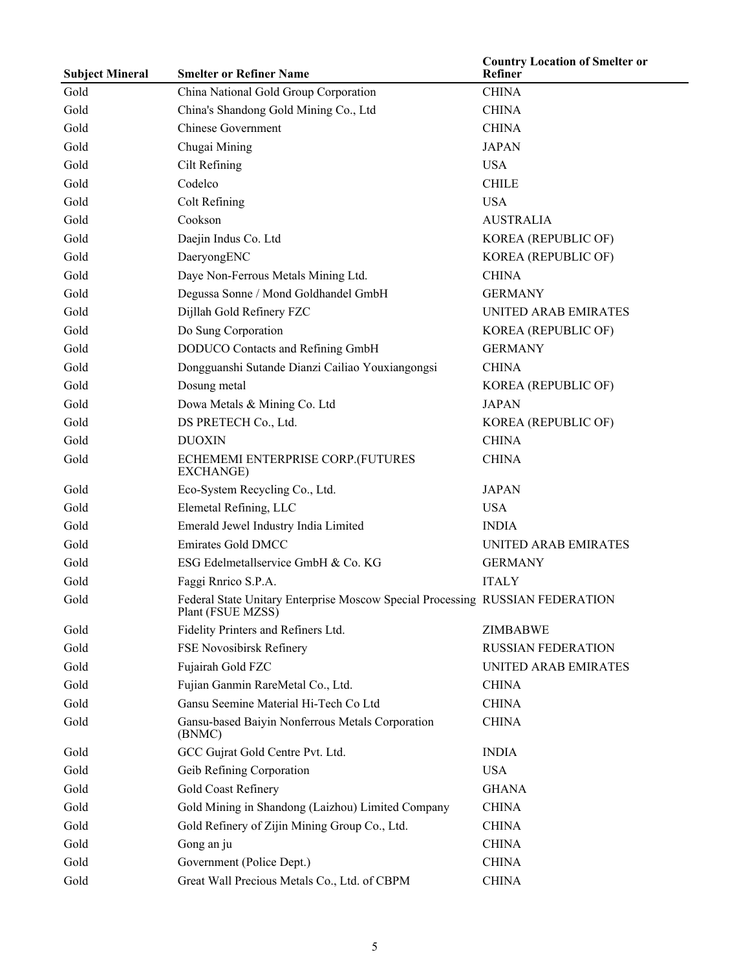| <b>Subject Mineral</b> | <b>Smelter or Refiner Name</b>                                                                     | <b>Country Location of Smelter or</b><br>Refiner |
|------------------------|----------------------------------------------------------------------------------------------------|--------------------------------------------------|
| Gold                   | China National Gold Group Corporation                                                              | <b>CHINA</b>                                     |
| Gold                   | China's Shandong Gold Mining Co., Ltd                                                              | <b>CHINA</b>                                     |
| Gold                   | <b>Chinese Government</b>                                                                          | <b>CHINA</b>                                     |
| Gold                   | Chugai Mining                                                                                      | <b>JAPAN</b>                                     |
| Gold                   | Cilt Refining                                                                                      | <b>USA</b>                                       |
| Gold                   | Codelco                                                                                            | <b>CHILE</b>                                     |
| Gold                   | Colt Refining                                                                                      | <b>USA</b>                                       |
| Gold                   | Cookson                                                                                            | <b>AUSTRALIA</b>                                 |
| Gold                   | Daejin Indus Co. Ltd                                                                               | KOREA (REPUBLIC OF)                              |
| Gold                   | DaeryongENC                                                                                        | KOREA (REPUBLIC OF)                              |
| Gold                   | Daye Non-Ferrous Metals Mining Ltd.                                                                | <b>CHINA</b>                                     |
| Gold                   | Degussa Sonne / Mond Goldhandel GmbH                                                               | <b>GERMANY</b>                                   |
| Gold                   | Dijllah Gold Refinery FZC                                                                          | <b>UNITED ARAB EMIRATES</b>                      |
| Gold                   | Do Sung Corporation                                                                                | KOREA (REPUBLIC OF)                              |
| Gold                   | DODUCO Contacts and Refining GmbH                                                                  | <b>GERMANY</b>                                   |
| Gold                   | Dongguanshi Sutande Dianzi Cailiao Youxiangongsi                                                   | <b>CHINA</b>                                     |
| Gold                   | Dosung metal                                                                                       | KOREA (REPUBLIC OF)                              |
| Gold                   | Dowa Metals & Mining Co. Ltd                                                                       | <b>JAPAN</b>                                     |
| Gold                   | DS PRETECH Co., Ltd.                                                                               | KOREA (REPUBLIC OF)                              |
| Gold                   | <b>DUOXIN</b>                                                                                      | <b>CHINA</b>                                     |
| Gold                   | ECHEMEMI ENTERPRISE CORP.(FUTURES<br>EXCHANGE)                                                     | <b>CHINA</b>                                     |
| Gold                   | Eco-System Recycling Co., Ltd.                                                                     | <b>JAPAN</b>                                     |
| Gold                   | Elemetal Refining, LLC                                                                             | <b>USA</b>                                       |
| Gold                   | Emerald Jewel Industry India Limited                                                               | <b>INDIA</b>                                     |
| Gold                   | <b>Emirates Gold DMCC</b>                                                                          | UNITED ARAB EMIRATES                             |
| Gold                   | ESG Edelmetallservice GmbH & Co. KG                                                                | <b>GERMANY</b>                                   |
| Gold                   | Faggi Rnrico S.P.A.                                                                                | <b>ITALY</b>                                     |
| Gold                   | Federal State Unitary Enterprise Moscow Special Processing RUSSIAN FEDERATION<br>Plant (FSUE MZSS) |                                                  |
| Gold                   | Fidelity Printers and Refiners Ltd.                                                                | ZIMBABWE                                         |
| Gold                   | FSE Novosibirsk Refinery                                                                           | <b>RUSSIAN FEDERATION</b>                        |
| Gold                   | Fujairah Gold FZC                                                                                  | <b>UNITED ARAB EMIRATES</b>                      |
| Gold                   | Fujian Ganmin RareMetal Co., Ltd.                                                                  | <b>CHINA</b>                                     |
| Gold                   | Gansu Seemine Material Hi-Tech Co Ltd                                                              | <b>CHINA</b>                                     |
| Gold                   | Gansu-based Baiyin Nonferrous Metals Corporation<br>(BNMC)                                         | <b>CHINA</b>                                     |
| Gold                   | GCC Gujrat Gold Centre Pvt. Ltd.                                                                   | <b>INDIA</b>                                     |
| Gold                   | Geib Refining Corporation                                                                          | <b>USA</b>                                       |
| Gold                   | Gold Coast Refinery                                                                                | <b>GHANA</b>                                     |
| Gold                   | Gold Mining in Shandong (Laizhou) Limited Company                                                  | <b>CHINA</b>                                     |
| Gold                   | Gold Refinery of Zijin Mining Group Co., Ltd.                                                      | <b>CHINA</b>                                     |
| Gold                   | Gong an ju                                                                                         | <b>CHINA</b>                                     |
| Gold                   | Government (Police Dept.)                                                                          | <b>CHINA</b>                                     |
| Gold                   | Great Wall Precious Metals Co., Ltd. of CBPM                                                       | <b>CHINA</b>                                     |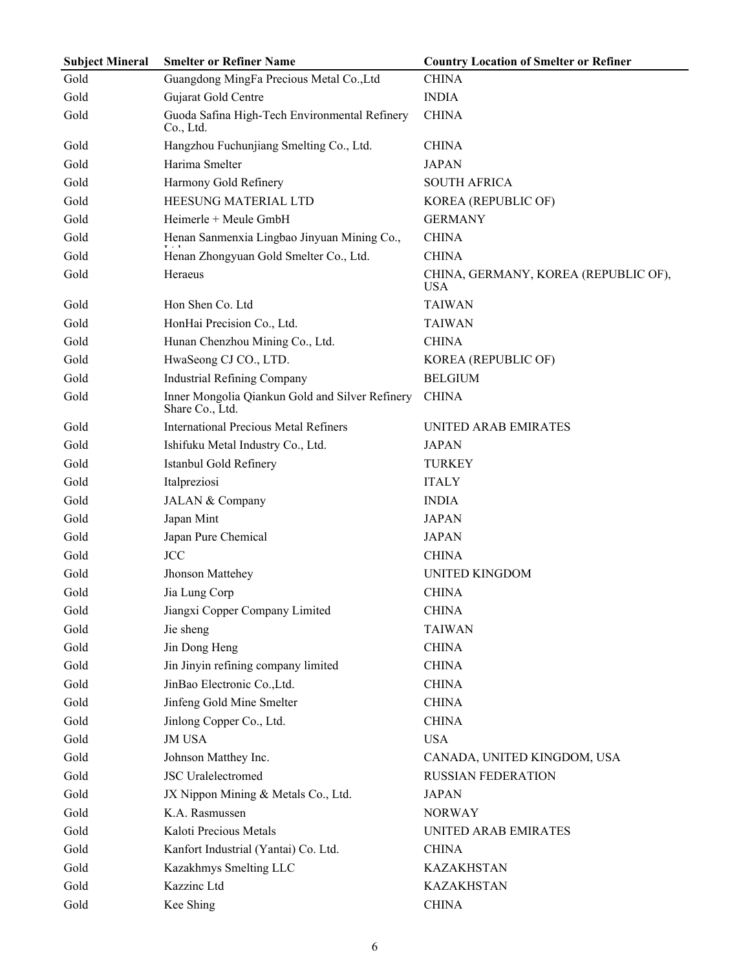| <b>Subject Mineral</b> | <b>Smelter or Refiner Name</b>                                     | <b>Country Location of Smelter or Refiner</b>      |
|------------------------|--------------------------------------------------------------------|----------------------------------------------------|
| Gold                   | Guangdong MingFa Precious Metal Co., Ltd                           | <b>CHINA</b>                                       |
| Gold                   | Gujarat Gold Centre                                                | <b>INDIA</b>                                       |
| Gold                   | Guoda Safina High-Tech Environmental Refinery<br>Co., Ltd.         | <b>CHINA</b>                                       |
| Gold                   | Hangzhou Fuchunjiang Smelting Co., Ltd.                            | <b>CHINA</b>                                       |
| Gold                   | Harima Smelter                                                     | <b>JAPAN</b>                                       |
| Gold                   | Harmony Gold Refinery                                              | <b>SOUTH AFRICA</b>                                |
| Gold                   | HEESUNG MATERIAL LTD                                               | KOREA (REPUBLIC OF)                                |
| Gold                   | Heimerle + Meule GmbH                                              | <b>GERMANY</b>                                     |
| Gold                   | Henan Sanmenxia Lingbao Jinyuan Mining Co.,                        | <b>CHINA</b>                                       |
| Gold                   | Henan Zhongyuan Gold Smelter Co., Ltd.                             | <b>CHINA</b>                                       |
| Gold                   | Heraeus                                                            | CHINA, GERMANY, KOREA (REPUBLIC OF),<br><b>USA</b> |
| Gold                   | Hon Shen Co. Ltd                                                   | <b>TAIWAN</b>                                      |
| Gold                   | HonHai Precision Co., Ltd.                                         | <b>TAIWAN</b>                                      |
| Gold                   | Hunan Chenzhou Mining Co., Ltd.                                    | <b>CHINA</b>                                       |
| Gold                   | HwaSeong CJ CO., LTD.                                              | KOREA (REPUBLIC OF)                                |
| Gold                   | <b>Industrial Refining Company</b>                                 | <b>BELGIUM</b>                                     |
| Gold                   | Inner Mongolia Qiankun Gold and Silver Refinery<br>Share Co., Ltd. | <b>CHINA</b>                                       |
| Gold                   | <b>International Precious Metal Refiners</b>                       | UNITED ARAB EMIRATES                               |
| Gold                   | Ishifuku Metal Industry Co., Ltd.                                  | <b>JAPAN</b>                                       |
| Gold                   | Istanbul Gold Refinery                                             | <b>TURKEY</b>                                      |
| Gold                   | Italpreziosi                                                       | <b>ITALY</b>                                       |
| Gold                   | JALAN & Company                                                    | <b>INDIA</b>                                       |
| Gold                   | Japan Mint                                                         | <b>JAPAN</b>                                       |
| Gold                   | Japan Pure Chemical                                                | <b>JAPAN</b>                                       |
| Gold                   | <b>JCC</b>                                                         | <b>CHINA</b>                                       |
| Gold                   | Jhonson Mattehey                                                   | <b>UNITED KINGDOM</b>                              |
| Gold                   | Jia Lung Corp                                                      | <b>CHINA</b>                                       |
| Gold                   | Jiangxi Copper Company Limited                                     | <b>CHINA</b>                                       |
| Gold                   | Jie sheng                                                          | <b>TAIWAN</b>                                      |
| Gold                   | Jin Dong Heng                                                      | <b>CHINA</b>                                       |
| Gold                   | Jin Jinyin refining company limited                                | <b>CHINA</b>                                       |
| Gold                   | JinBao Electronic Co., Ltd.                                        | <b>CHINA</b>                                       |
| Gold                   | Jinfeng Gold Mine Smelter                                          | <b>CHINA</b>                                       |
| Gold                   | Jinlong Copper Co., Ltd.                                           | <b>CHINA</b>                                       |
| Gold                   | <b>JM USA</b>                                                      | <b>USA</b>                                         |
| Gold                   | Johnson Matthey Inc.                                               | CANADA, UNITED KINGDOM, USA                        |
| Gold                   | <b>JSC</b> Uralelectromed                                          | <b>RUSSIAN FEDERATION</b>                          |
| Gold                   | JX Nippon Mining & Metals Co., Ltd.                                | <b>JAPAN</b>                                       |
| Gold                   | K.A. Rasmussen                                                     | <b>NORWAY</b>                                      |
| Gold                   | Kaloti Precious Metals                                             | UNITED ARAB EMIRATES                               |
| Gold                   | Kanfort Industrial (Yantai) Co. Ltd.                               | <b>CHINA</b>                                       |
| Gold                   | Kazakhmys Smelting LLC                                             | <b>KAZAKHSTAN</b>                                  |
| Gold                   | Kazzinc Ltd                                                        | <b>KAZAKHSTAN</b>                                  |
| Gold                   | Kee Shing                                                          | <b>CHINA</b>                                       |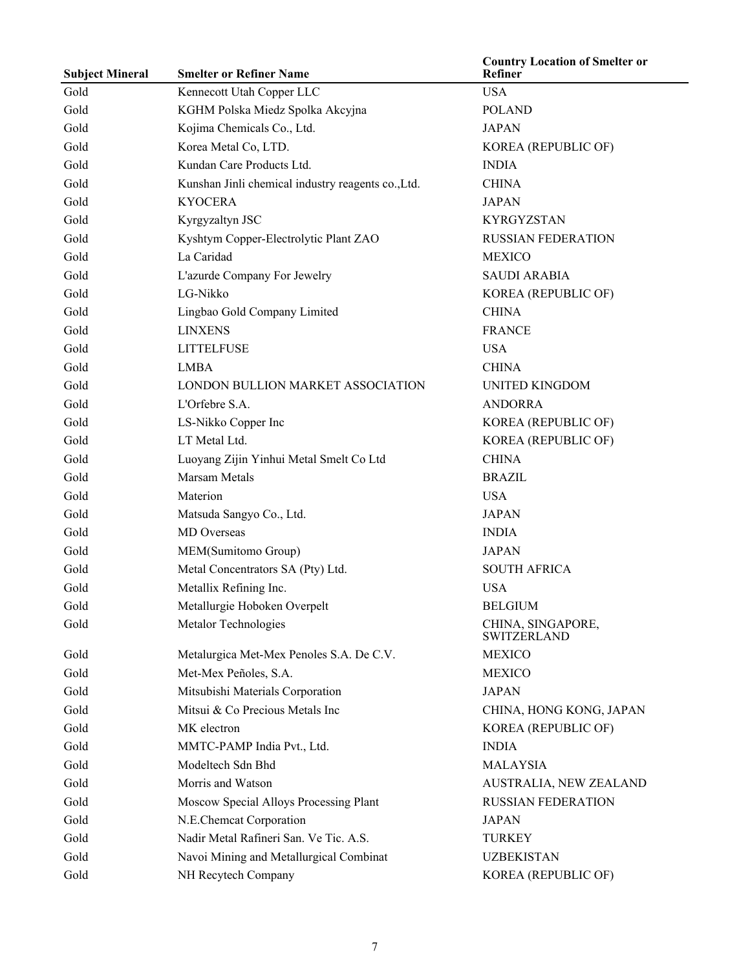| <b>Subject Mineral</b> | <b>Smelter or Refiner Name</b>                     | <b>Country Location of Smelter or</b><br>Refiner |
|------------------------|----------------------------------------------------|--------------------------------------------------|
| Gold                   | Kennecott Utah Copper LLC                          | <b>USA</b>                                       |
| Gold                   | KGHM Polska Miedz Spolka Akcyjna                   | <b>POLAND</b>                                    |
| Gold                   | Kojima Chemicals Co., Ltd.                         | <b>JAPAN</b>                                     |
| Gold                   | Korea Metal Co, LTD.                               | KOREA (REPUBLIC OF)                              |
| Gold                   | Kundan Care Products Ltd.                          | <b>INDIA</b>                                     |
| Gold                   | Kunshan Jinli chemical industry reagents co., Ltd. | <b>CHINA</b>                                     |
| Gold                   | <b>KYOCERA</b>                                     | <b>JAPAN</b>                                     |
| Gold                   | Kyrgyzaltyn JSC                                    | <b>KYRGYZSTAN</b>                                |
| Gold                   | Kyshtym Copper-Electrolytic Plant ZAO              | <b>RUSSIAN FEDERATION</b>                        |
| Gold                   | La Caridad                                         | <b>MEXICO</b>                                    |
| Gold                   | L'azurde Company For Jewelry                       | <b>SAUDI ARABIA</b>                              |
| Gold                   | LG-Nikko                                           | KOREA (REPUBLIC OF)                              |
| Gold                   | Lingbao Gold Company Limited                       | <b>CHINA</b>                                     |
| Gold                   | <b>LINXENS</b>                                     | <b>FRANCE</b>                                    |
| Gold                   | <b>LITTELFUSE</b>                                  | <b>USA</b>                                       |
| Gold                   | <b>LMBA</b>                                        | <b>CHINA</b>                                     |
| Gold                   | LONDON BULLION MARKET ASSOCIATION                  | <b>UNITED KINGDOM</b>                            |
| Gold                   | L'Orfebre S.A.                                     | <b>ANDORRA</b>                                   |
| Gold                   | LS-Nikko Copper Inc                                | KOREA (REPUBLIC OF)                              |
| Gold                   | LT Metal Ltd.                                      | KOREA (REPUBLIC OF)                              |
| Gold                   | Luoyang Zijin Yinhui Metal Smelt Co Ltd            | <b>CHINA</b>                                     |
| Gold                   | <b>Marsam Metals</b>                               | <b>BRAZIL</b>                                    |
| Gold                   | Materion                                           | <b>USA</b>                                       |
| Gold                   | Matsuda Sangyo Co., Ltd.                           | <b>JAPAN</b>                                     |
| Gold                   | MD Overseas                                        | <b>INDIA</b>                                     |
| Gold                   | MEM(Sumitomo Group)                                | <b>JAPAN</b>                                     |
| Gold                   | Metal Concentrators SA (Pty) Ltd.                  | <b>SOUTH AFRICA</b>                              |
| Gold                   | Metallix Refining Inc.                             | <b>USA</b>                                       |
| Gold                   | Metallurgie Hoboken Overpelt                       | <b>BELGIUM</b>                                   |
| Gold                   | Metalor Technologies                               | CHINA, SINGAPORE,<br><b>SWITZERLAND</b>          |
| Gold                   | Metalurgica Met-Mex Penoles S.A. De C.V.           | <b>MEXICO</b>                                    |
| Gold                   | Met-Mex Peñoles, S.A.                              | <b>MEXICO</b>                                    |
| Gold                   | Mitsubishi Materials Corporation                   | <b>JAPAN</b>                                     |
| Gold                   | Mitsui & Co Precious Metals Inc                    | CHINA, HONG KONG, JAPAN                          |
| Gold                   | MK electron                                        | KOREA (REPUBLIC OF)                              |
| Gold                   | MMTC-PAMP India Pvt., Ltd.                         | <b>INDIA</b>                                     |
| Gold                   | Modeltech Sdn Bhd                                  | <b>MALAYSIA</b>                                  |
| Gold                   | Morris and Watson                                  | AUSTRALIA, NEW ZEALAND                           |
| Gold                   | Moscow Special Alloys Processing Plant             | <b>RUSSIAN FEDERATION</b>                        |
| Gold                   | N.E.Chemcat Corporation                            | <b>JAPAN</b>                                     |
| Gold                   | Nadir Metal Rafineri San. Ve Tic. A.S.             | <b>TURKEY</b>                                    |
| Gold                   | Navoi Mining and Metallurgical Combinat            | <b>UZBEKISTAN</b>                                |
| Gold                   | NH Recytech Company                                | KOREA (REPUBLIC OF)                              |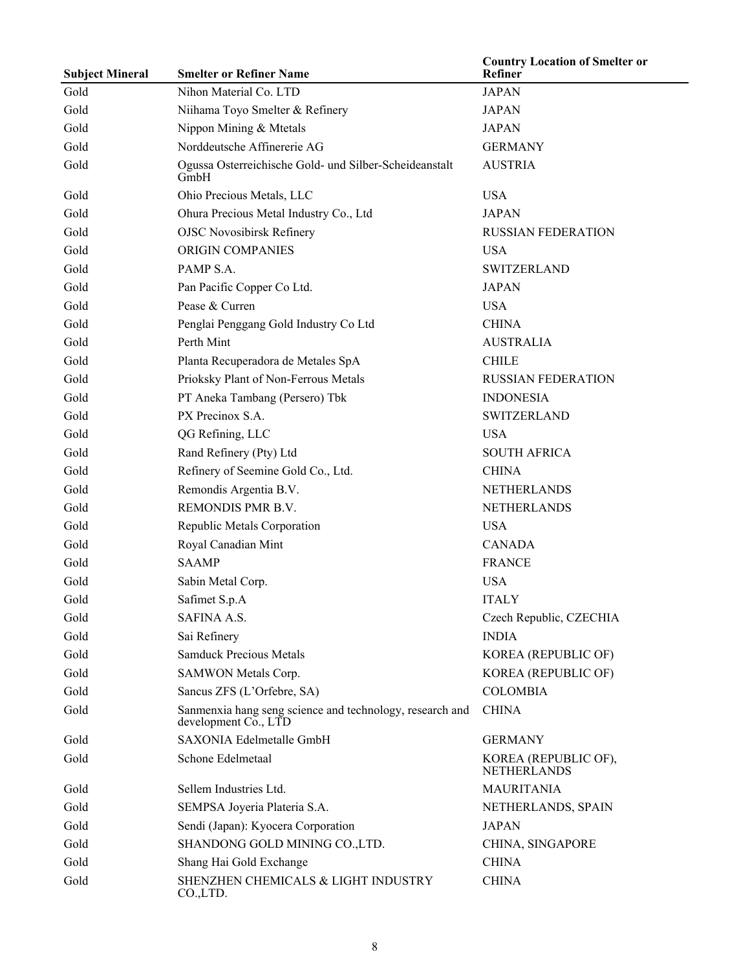| <b>Subject Mineral</b> | <b>Smelter or Refiner Name</b>                                                   | <b>Country Location of Smelter or</b><br>Refiner |
|------------------------|----------------------------------------------------------------------------------|--------------------------------------------------|
| Gold                   | Nihon Material Co. LTD                                                           | <b>JAPAN</b>                                     |
| Gold                   | Niihama Toyo Smelter & Refinery                                                  | <b>JAPAN</b>                                     |
| Gold                   | Nippon Mining & Mtetals                                                          | <b>JAPAN</b>                                     |
| Gold                   | Norddeutsche Affinererie AG                                                      | <b>GERMANY</b>                                   |
| Gold                   | Ogussa Osterreichische Gold- und Silber-Scheideanstalt<br>GmbH                   | <b>AUSTRIA</b>                                   |
| Gold                   | Ohio Precious Metals, LLC                                                        | <b>USA</b>                                       |
| Gold                   | Ohura Precious Metal Industry Co., Ltd                                           | <b>JAPAN</b>                                     |
| Gold                   | <b>OJSC Novosibirsk Refinery</b>                                                 | <b>RUSSIAN FEDERATION</b>                        |
| Gold                   | ORIGIN COMPANIES                                                                 | <b>USA</b>                                       |
| Gold                   | PAMP S.A.                                                                        | <b>SWITZERLAND</b>                               |
| Gold                   | Pan Pacific Copper Co Ltd.                                                       | <b>JAPAN</b>                                     |
| Gold                   | Pease & Curren                                                                   | <b>USA</b>                                       |
| Gold                   | Penglai Penggang Gold Industry Co Ltd                                            | <b>CHINA</b>                                     |
| Gold                   | Perth Mint                                                                       | <b>AUSTRALIA</b>                                 |
| Gold                   | Planta Recuperadora de Metales SpA                                               | <b>CHILE</b>                                     |
| Gold                   | Prioksky Plant of Non-Ferrous Metals                                             | <b>RUSSIAN FEDERATION</b>                        |
| Gold                   | PT Aneka Tambang (Persero) Tbk                                                   | <b>INDONESIA</b>                                 |
| Gold                   | PX Precinox S.A.                                                                 | <b>SWITZERLAND</b>                               |
| Gold                   | QG Refining, LLC                                                                 | <b>USA</b>                                       |
| Gold                   | Rand Refinery (Pty) Ltd                                                          | <b>SOUTH AFRICA</b>                              |
| Gold                   | Refinery of Seemine Gold Co., Ltd.                                               | <b>CHINA</b>                                     |
| Gold                   | Remondis Argentia B.V.                                                           | NETHERLANDS                                      |
| Gold                   | REMONDIS PMR B.V.                                                                | NETHERLANDS                                      |
| Gold                   | Republic Metals Corporation                                                      | <b>USA</b>                                       |
| Gold                   | Royal Canadian Mint                                                              | <b>CANADA</b>                                    |
| Gold                   | <b>SAAMP</b>                                                                     | <b>FRANCE</b>                                    |
| Gold                   | Sabin Metal Corp.                                                                | <b>USA</b>                                       |
| Gold                   | Safimet S.p.A                                                                    | <b>ITALY</b>                                     |
| Gold                   | SAFINA A.S.                                                                      | Czech Republic, CZECHIA                          |
| Gold                   | Sai Refinery                                                                     | <b>INDIA</b>                                     |
| Gold                   | <b>Samduck Precious Metals</b>                                                   | KOREA (REPUBLIC OF)                              |
| Gold                   | SAMWON Metals Corp.                                                              | KOREA (REPUBLIC OF)                              |
| Gold                   | Sancus ZFS (L'Orfebre, SA)                                                       | <b>COLOMBIA</b>                                  |
| Gold                   | Sanmenxia hang seng science and technology, research and<br>development Co., LTD | <b>CHINA</b>                                     |
| Gold                   | SAXONIA Edelmetalle GmbH                                                         | <b>GERMANY</b>                                   |
| Gold                   | Schone Edelmetaal                                                                | KOREA (REPUBLIC OF),<br><b>NETHERLANDS</b>       |
| Gold                   | Sellem Industries Ltd.                                                           | <b>MAURITANIA</b>                                |
| Gold                   | SEMPSA Joyeria Plateria S.A.                                                     | NETHERLANDS, SPAIN                               |
| Gold                   | Sendi (Japan): Kyocera Corporation                                               | <b>JAPAN</b>                                     |
| Gold                   | SHANDONG GOLD MINING CO., LTD.                                                   | CHINA, SINGAPORE                                 |
| Gold                   | Shang Hai Gold Exchange                                                          | <b>CHINA</b>                                     |
| Gold                   | SHENZHEN CHEMICALS & LIGHT INDUSTRY<br>CO.,LTD.                                  | <b>CHINA</b>                                     |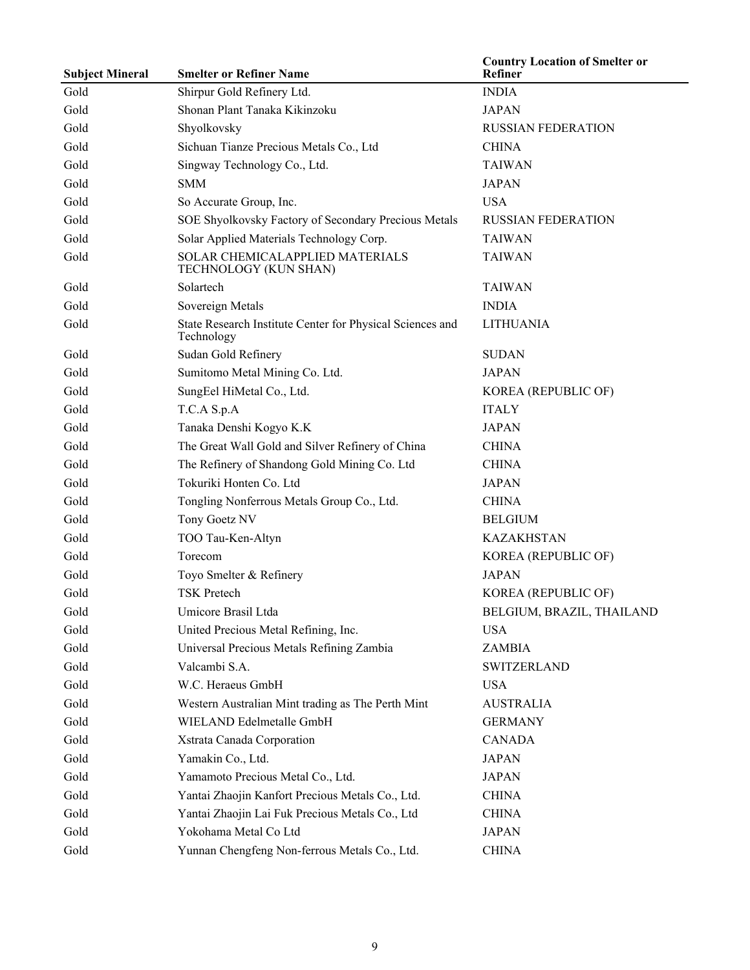| <b>Subject Mineral</b> | <b>Smelter or Refiner Name</b>                                          | <b>Country Location of Smelter or</b><br>Refiner |
|------------------------|-------------------------------------------------------------------------|--------------------------------------------------|
| Gold                   | Shirpur Gold Refinery Ltd.                                              | <b>INDIA</b>                                     |
| Gold                   | Shonan Plant Tanaka Kikinzoku                                           | <b>JAPAN</b>                                     |
| Gold                   | Shyolkovsky                                                             | <b>RUSSIAN FEDERATION</b>                        |
| Gold                   | Sichuan Tianze Precious Metals Co., Ltd                                 | <b>CHINA</b>                                     |
| Gold                   | Singway Technology Co., Ltd.                                            | <b>TAIWAN</b>                                    |
| Gold                   | <b>SMM</b>                                                              | <b>JAPAN</b>                                     |
| Gold                   | So Accurate Group, Inc.                                                 | <b>USA</b>                                       |
| Gold                   | SOE Shyolkovsky Factory of Secondary Precious Metals                    | <b>RUSSIAN FEDERATION</b>                        |
| Gold                   | Solar Applied Materials Technology Corp.                                | <b>TAIWAN</b>                                    |
| Gold                   | SOLAR CHEMICALAPPLIED MATERIALS<br>TECHNOLOGY (KUN SHAN)                | <b>TAIWAN</b>                                    |
| Gold                   | Solartech                                                               | <b>TAIWAN</b>                                    |
| Gold                   | Sovereign Metals                                                        | <b>INDIA</b>                                     |
| Gold                   | State Research Institute Center for Physical Sciences and<br>Technology | <b>LITHUANIA</b>                                 |
| Gold                   | Sudan Gold Refinery                                                     | <b>SUDAN</b>                                     |
| Gold                   | Sumitomo Metal Mining Co. Ltd.                                          | <b>JAPAN</b>                                     |
| Gold                   | SungEel HiMetal Co., Ltd.                                               | KOREA (REPUBLIC OF)                              |
| Gold                   | T.C.A S.p.A                                                             | <b>ITALY</b>                                     |
| Gold                   | Tanaka Denshi Kogyo K.K                                                 | <b>JAPAN</b>                                     |
| Gold                   | The Great Wall Gold and Silver Refinery of China                        | <b>CHINA</b>                                     |
| Gold                   | The Refinery of Shandong Gold Mining Co. Ltd                            | <b>CHINA</b>                                     |
| Gold                   | Tokuriki Honten Co. Ltd                                                 | <b>JAPAN</b>                                     |
| Gold                   | Tongling Nonferrous Metals Group Co., Ltd.                              | <b>CHINA</b>                                     |
| Gold                   | Tony Goetz NV                                                           | <b>BELGIUM</b>                                   |
| Gold                   | TOO Tau-Ken-Altyn                                                       | <b>KAZAKHSTAN</b>                                |
| Gold                   | Torecom                                                                 | KOREA (REPUBLIC OF)                              |
| Gold                   | Toyo Smelter & Refinery                                                 | <b>JAPAN</b>                                     |
| Gold                   | TSK Pretech                                                             | KOREA (REPUBLIC OF)                              |
| Gold                   | Umicore Brasil Ltda                                                     | BELGIUM, BRAZIL, THAILAND                        |
| Gold                   | United Precious Metal Refining, Inc.                                    | <b>USA</b>                                       |
| Gold                   | Universal Precious Metals Refining Zambia                               | ZAMBIA                                           |
| Gold                   | Valcambi S.A.                                                           | <b>SWITZERLAND</b>                               |
| Gold                   | W.C. Heraeus GmbH                                                       | <b>USA</b>                                       |
| Gold                   | Western Australian Mint trading as The Perth Mint                       | <b>AUSTRALIA</b>                                 |
| Gold                   | WIELAND Edelmetalle GmbH                                                | <b>GERMANY</b>                                   |
| Gold                   | Xstrata Canada Corporation                                              | <b>CANADA</b>                                    |
| Gold                   | Yamakin Co., Ltd.                                                       | <b>JAPAN</b>                                     |
| Gold                   | Yamamoto Precious Metal Co., Ltd.                                       | <b>JAPAN</b>                                     |
| Gold                   | Yantai Zhaojin Kanfort Precious Metals Co., Ltd.                        | <b>CHINA</b>                                     |
| Gold                   | Yantai Zhaojin Lai Fuk Precious Metals Co., Ltd                         | <b>CHINA</b>                                     |
| Gold                   | Yokohama Metal Co Ltd                                                   | <b>JAPAN</b>                                     |
| Gold                   | Yunnan Chengfeng Non-ferrous Metals Co., Ltd.                           | <b>CHINA</b>                                     |

L,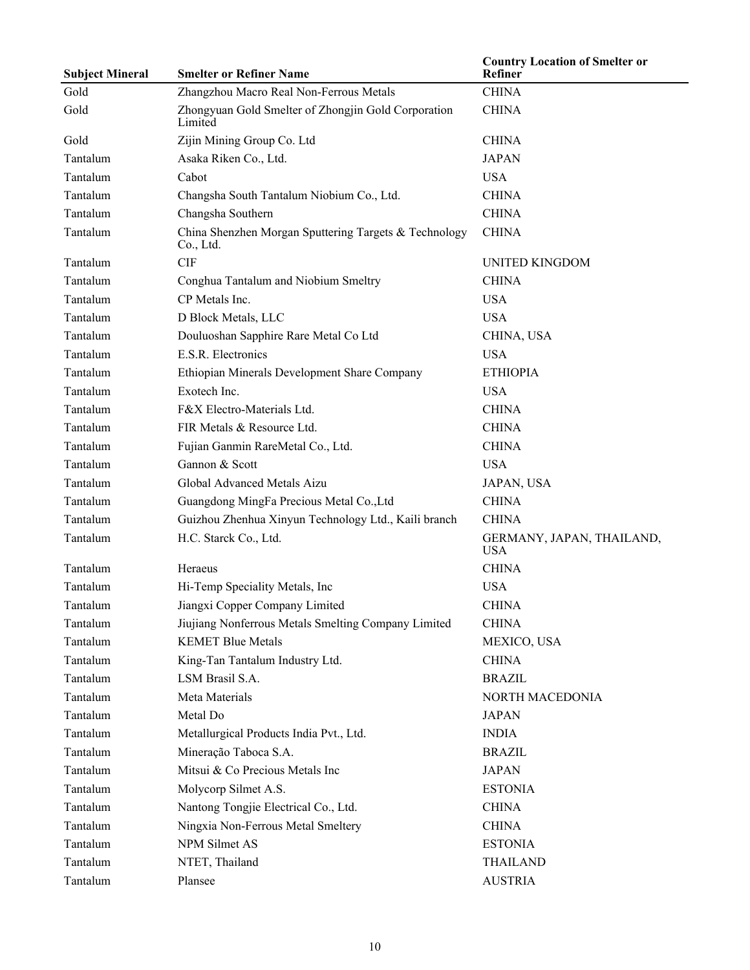| <b>Subject Mineral</b> | <b>Smelter or Refiner Name</b>                                     | <b>Country Location of Smelter or</b><br>Refiner |
|------------------------|--------------------------------------------------------------------|--------------------------------------------------|
| Gold                   | Zhangzhou Macro Real Non-Ferrous Metals                            | <b>CHINA</b>                                     |
| Gold                   | Zhongyuan Gold Smelter of Zhongjin Gold Corporation<br>Limited     | <b>CHINA</b>                                     |
| Gold                   | Zijin Mining Group Co. Ltd                                         | <b>CHINA</b>                                     |
| Tantalum               | Asaka Riken Co., Ltd.                                              | <b>JAPAN</b>                                     |
| Tantalum               | Cabot                                                              | <b>USA</b>                                       |
| Tantalum               | Changsha South Tantalum Niobium Co., Ltd.                          | <b>CHINA</b>                                     |
| Tantalum               | Changsha Southern                                                  | <b>CHINA</b>                                     |
| Tantalum               | China Shenzhen Morgan Sputtering Targets & Technology<br>Co., Ltd. | <b>CHINA</b>                                     |
| Tantalum               | <b>CIF</b>                                                         | UNITED KINGDOM                                   |
| Tantalum               | Conghua Tantalum and Niobium Smeltry                               | <b>CHINA</b>                                     |
| Tantalum               | CP Metals Inc.                                                     | <b>USA</b>                                       |
| Tantalum               | D Block Metals, LLC                                                | <b>USA</b>                                       |
| Tantalum               | Douluoshan Sapphire Rare Metal Co Ltd                              | CHINA, USA                                       |
| Tantalum               | E.S.R. Electronics                                                 | <b>USA</b>                                       |
| Tantalum               | Ethiopian Minerals Development Share Company                       | <b>ETHIOPIA</b>                                  |
| Tantalum               | Exotech Inc.                                                       | <b>USA</b>                                       |
| Tantalum               | F&X Electro-Materials Ltd.                                         | <b>CHINA</b>                                     |
| Tantalum               | FIR Metals & Resource Ltd.                                         | <b>CHINA</b>                                     |
| Tantalum               | Fujian Ganmin RareMetal Co., Ltd.                                  | <b>CHINA</b>                                     |
| Tantalum               | Gannon & Scott                                                     | <b>USA</b>                                       |
| Tantalum               | Global Advanced Metals Aizu                                        | JAPAN, USA                                       |
| Tantalum               | Guangdong MingFa Precious Metal Co., Ltd                           | <b>CHINA</b>                                     |
| Tantalum               | Guizhou Zhenhua Xinyun Technology Ltd., Kaili branch               | <b>CHINA</b>                                     |
| Tantalum               | H.C. Starck Co., Ltd.                                              | GERMANY, JAPAN, THAILAND,<br><b>USA</b>          |
| Tantalum               | Heraeus                                                            | <b>CHINA</b>                                     |
| Tantalum               | Hi-Temp Speciality Metals, Inc.                                    | <b>USA</b>                                       |
| Tantalum               | Jiangxi Copper Company Limited                                     | <b>CHINA</b>                                     |
| Tantalum               | Jiujiang Nonferrous Metals Smelting Company Limited                | <b>CHINA</b>                                     |
| Tantalum               | <b>KEMET Blue Metals</b>                                           | MEXICO, USA                                      |
| Tantalum               | King-Tan Tantalum Industry Ltd.                                    | <b>CHINA</b>                                     |
| Tantalum               | LSM Brasil S.A.                                                    | <b>BRAZIL</b>                                    |
| Tantalum               | Meta Materials                                                     | NORTH MACEDONIA                                  |
| Tantalum               | Metal Do                                                           | <b>JAPAN</b>                                     |
| Tantalum               | Metallurgical Products India Pvt., Ltd.                            | <b>INDIA</b>                                     |
| Tantalum               | Mineração Taboca S.A.                                              | <b>BRAZIL</b>                                    |
| Tantalum               | Mitsui & Co Precious Metals Inc                                    | <b>JAPAN</b>                                     |
| Tantalum               | Molycorp Silmet A.S.                                               | <b>ESTONIA</b>                                   |
| Tantalum               | Nantong Tongjie Electrical Co., Ltd.                               | <b>CHINA</b>                                     |
| Tantalum               | Ningxia Non-Ferrous Metal Smeltery                                 | <b>CHINA</b>                                     |
| Tantalum               | NPM Silmet AS                                                      | <b>ESTONIA</b>                                   |
| Tantalum               | NTET, Thailand                                                     | <b>THAILAND</b>                                  |
| Tantalum               | Plansee                                                            | <b>AUSTRIA</b>                                   |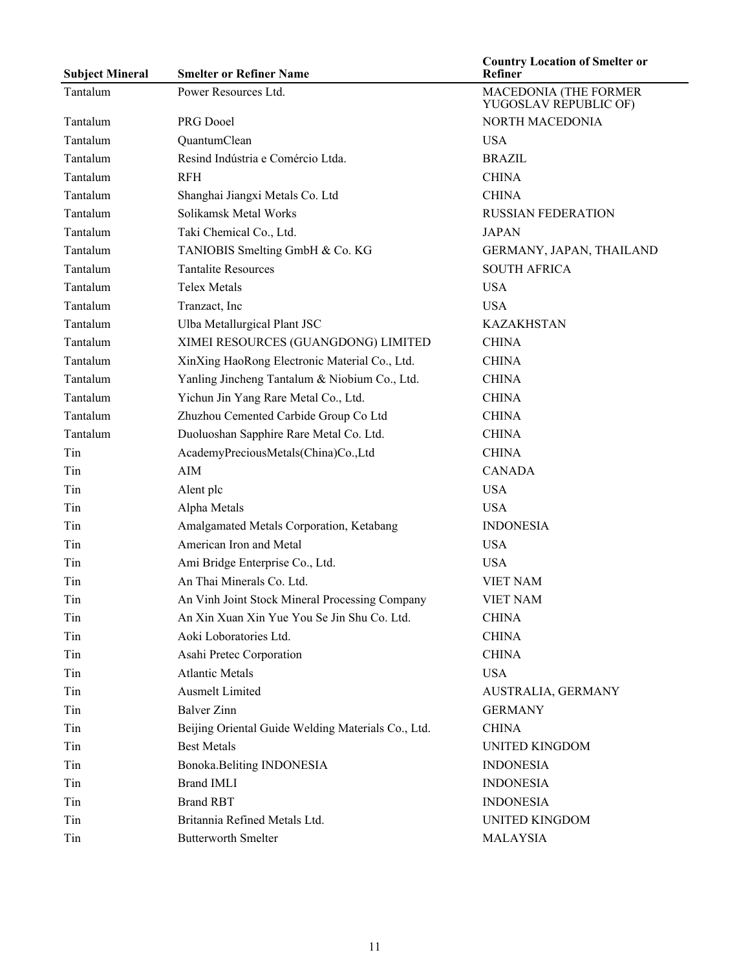| <b>Subject Mineral</b> | <b>Smelter or Refiner Name</b>                     | <b>Country Location of Smelter or</b><br>Refiner |
|------------------------|----------------------------------------------------|--------------------------------------------------|
| Tantalum               | Power Resources Ltd.                               | MACEDONIA (THE FORMER<br>YUGOSLAV REPUBLIC OF)   |
| Tantalum               | PRG Dooel                                          | NORTH MACEDONIA                                  |
| Tantalum               | QuantumClean                                       | <b>USA</b>                                       |
| Tantalum               | Resind Indústria e Comércio Ltda.                  | <b>BRAZIL</b>                                    |
| Tantalum               | <b>RFH</b>                                         | <b>CHINA</b>                                     |
| Tantalum               | Shanghai Jiangxi Metals Co. Ltd                    | <b>CHINA</b>                                     |
| Tantalum               | Solikamsk Metal Works                              | <b>RUSSIAN FEDERATION</b>                        |
| Tantalum               | Taki Chemical Co., Ltd.                            | <b>JAPAN</b>                                     |
| Tantalum               | TANIOBIS Smelting GmbH & Co. KG                    | GERMANY, JAPAN, THAILAND                         |
| Tantalum               | <b>Tantalite Resources</b>                         | <b>SOUTH AFRICA</b>                              |
| Tantalum               | <b>Telex Metals</b>                                | <b>USA</b>                                       |
| Tantalum               | Tranzact, Inc                                      | <b>USA</b>                                       |
| Tantalum               | Ulba Metallurgical Plant JSC                       | <b>KAZAKHSTAN</b>                                |
| Tantalum               | XIMEI RESOURCES (GUANGDONG) LIMITED                | <b>CHINA</b>                                     |
| Tantalum               | XinXing HaoRong Electronic Material Co., Ltd.      | <b>CHINA</b>                                     |
| Tantalum               | Yanling Jincheng Tantalum & Niobium Co., Ltd.      | <b>CHINA</b>                                     |
| Tantalum               | Yichun Jin Yang Rare Metal Co., Ltd.               | <b>CHINA</b>                                     |
| Tantalum               | Zhuzhou Cemented Carbide Group Co Ltd              | <b>CHINA</b>                                     |
| Tantalum               | Duoluoshan Sapphire Rare Metal Co. Ltd.            | <b>CHINA</b>                                     |
| Tin                    | AcademyPreciousMetals(China)Co.,Ltd                | <b>CHINA</b>                                     |
| Tin                    | AIM                                                | <b>CANADA</b>                                    |
| Tin                    | Alent plc                                          | <b>USA</b>                                       |
| Tin                    | Alpha Metals                                       | <b>USA</b>                                       |
| Tin                    | Amalgamated Metals Corporation, Ketabang           | <b>INDONESIA</b>                                 |
| Tin                    | American Iron and Metal                            | <b>USA</b>                                       |
| Tin                    | Ami Bridge Enterprise Co., Ltd.                    | <b>USA</b>                                       |
| Tin                    | An Thai Minerals Co. Ltd.                          | <b>VIET NAM</b>                                  |
| Tin                    | An Vinh Joint Stock Mineral Processing Company     | <b>VIET NAM</b>                                  |
| Tin                    | An Xin Xuan Xin Yue You Se Jin Shu Co. Ltd.        | <b>CHINA</b>                                     |
| Tin                    | Aoki Loboratories Ltd.                             | <b>CHINA</b>                                     |
| Tin                    | Asahi Pretec Corporation                           | <b>CHINA</b>                                     |
| Tin                    | <b>Atlantic Metals</b>                             | <b>USA</b>                                       |
| Tin                    | <b>Ausmelt Limited</b>                             | AUSTRALIA, GERMANY                               |
| Tin                    | <b>Balver</b> Zinn                                 | <b>GERMANY</b>                                   |
| Tin                    | Beijing Oriental Guide Welding Materials Co., Ltd. | <b>CHINA</b>                                     |
| Tin                    | <b>Best Metals</b>                                 | <b>UNITED KINGDOM</b>                            |
| Tin                    | Bonoka.Beliting INDONESIA                          | <b>INDONESIA</b>                                 |
| Tin                    | <b>Brand IMLI</b>                                  | <b>INDONESIA</b>                                 |
| Tin                    | <b>Brand RBT</b>                                   | <b>INDONESIA</b>                                 |
| Tin                    | Britannia Refined Metals Ltd.                      | <b>UNITED KINGDOM</b>                            |
| Tin                    | <b>Butterworth Smelter</b>                         | <b>MALAYSIA</b>                                  |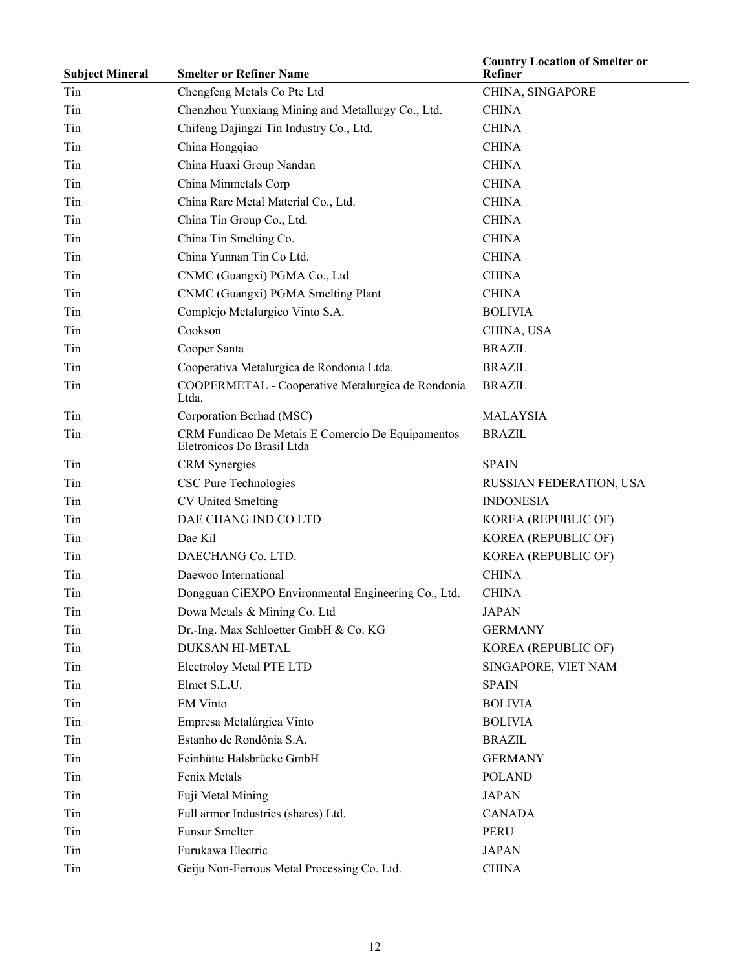| <b>Subject Mineral</b> | <b>Smelter or Refiner Name</b>                                                  | <b>Country Location of Smelter or</b><br>Refiner |
|------------------------|---------------------------------------------------------------------------------|--------------------------------------------------|
| Tin                    | Chengfeng Metals Co Pte Ltd                                                     | CHINA, SINGAPORE                                 |
| Tin                    | Chenzhou Yunxiang Mining and Metallurgy Co., Ltd.                               | <b>CHINA</b>                                     |
| Tin                    | Chifeng Dajingzi Tin Industry Co., Ltd.                                         | <b>CHINA</b>                                     |
| Tin                    | China Hongqiao                                                                  | <b>CHINA</b>                                     |
| Tin                    | China Huaxi Group Nandan                                                        | <b>CHINA</b>                                     |
| Tin                    | China Minmetals Corp                                                            | <b>CHINA</b>                                     |
| Tin                    | China Rare Metal Material Co., Ltd.                                             | <b>CHINA</b>                                     |
| Tin                    | China Tin Group Co., Ltd.                                                       | <b>CHINA</b>                                     |
| Tin                    | China Tin Smelting Co.                                                          | <b>CHINA</b>                                     |
| Tin                    | China Yunnan Tin Co Ltd.                                                        | <b>CHINA</b>                                     |
| Tin                    | CNMC (Guangxi) PGMA Co., Ltd                                                    | <b>CHINA</b>                                     |
| Tin                    | CNMC (Guangxi) PGMA Smelting Plant                                              | <b>CHINA</b>                                     |
| Tin                    | Complejo Metalurgico Vinto S.A.                                                 | <b>BOLIVIA</b>                                   |
| Tin                    | Cookson                                                                         | CHINA, USA                                       |
| Tin                    | Cooper Santa                                                                    | <b>BRAZIL</b>                                    |
| Tin                    | Cooperativa Metalurgica de Rondonia Ltda.                                       | <b>BRAZIL</b>                                    |
| Tin                    | COOPERMETAL - Cooperative Metalurgica de Rondonia<br>Ltda.                      | <b>BRAZIL</b>                                    |
| Tin                    | Corporation Berhad (MSC)                                                        | <b>MALAYSIA</b>                                  |
| Tin                    | CRM Fundicao De Metais E Comercio De Equipamentos<br>Eletronicos Do Brasil Ltda | <b>BRAZIL</b>                                    |
| Tin                    | <b>CRM</b> Synergies                                                            | <b>SPAIN</b>                                     |
| Tin                    | CSC Pure Technologies                                                           | RUSSIAN FEDERATION, USA                          |
| Tin                    | <b>CV United Smelting</b>                                                       | <b>INDONESIA</b>                                 |
| Tin                    | DAE CHANG IND CO LTD                                                            | KOREA (REPUBLIC OF)                              |
| Tin                    | Dae Kil                                                                         | KOREA (REPUBLIC OF)                              |
| Tin                    | DAECHANG Co. LTD.                                                               | KOREA (REPUBLIC OF)                              |
| Tin                    | Daewoo International                                                            | <b>CHINA</b>                                     |
| Tin                    | Dongguan CiEXPO Environmental Engineering Co., Ltd.                             | <b>CHINA</b>                                     |
| Tin                    | Dowa Metals & Mining Co. Ltd                                                    | <b>JAPAN</b>                                     |
| Tin                    | Dr.-Ing. Max Schloetter GmbH & Co. KG                                           | <b>GERMANY</b>                                   |
| Tin                    | DUKSAN HI-METAL                                                                 | KOREA (REPUBLIC OF)                              |
| Tin                    | Electroloy Metal PTE LTD                                                        | SINGAPORE, VIET NAM                              |
| Tin                    | Elmet S.L.U.                                                                    | <b>SPAIN</b>                                     |
| Tin                    | <b>EM Vinto</b>                                                                 | <b>BOLIVIA</b>                                   |
| Tin                    | Empresa Metalúrgica Vinto                                                       | <b>BOLIVIA</b>                                   |
| Tin                    | Estanho de Rondônia S.A.                                                        | <b>BRAZIL</b>                                    |
| Tin                    | Feinhütte Halsbrücke GmbH                                                       | <b>GERMANY</b>                                   |
| Tin                    | Fenix Metals                                                                    | <b>POLAND</b>                                    |
| Tin                    | Fuji Metal Mining                                                               | <b>JAPAN</b>                                     |
| Tin                    | Full armor Industries (shares) Ltd.                                             | <b>CANADA</b>                                    |
| Tin                    | <b>Funsur Smelter</b>                                                           | <b>PERU</b>                                      |
| Tin                    | Furukawa Electric                                                               | <b>JAPAN</b>                                     |
| Tin                    | Geiju Non-Ferrous Metal Processing Co. Ltd.                                     | <b>CHINA</b>                                     |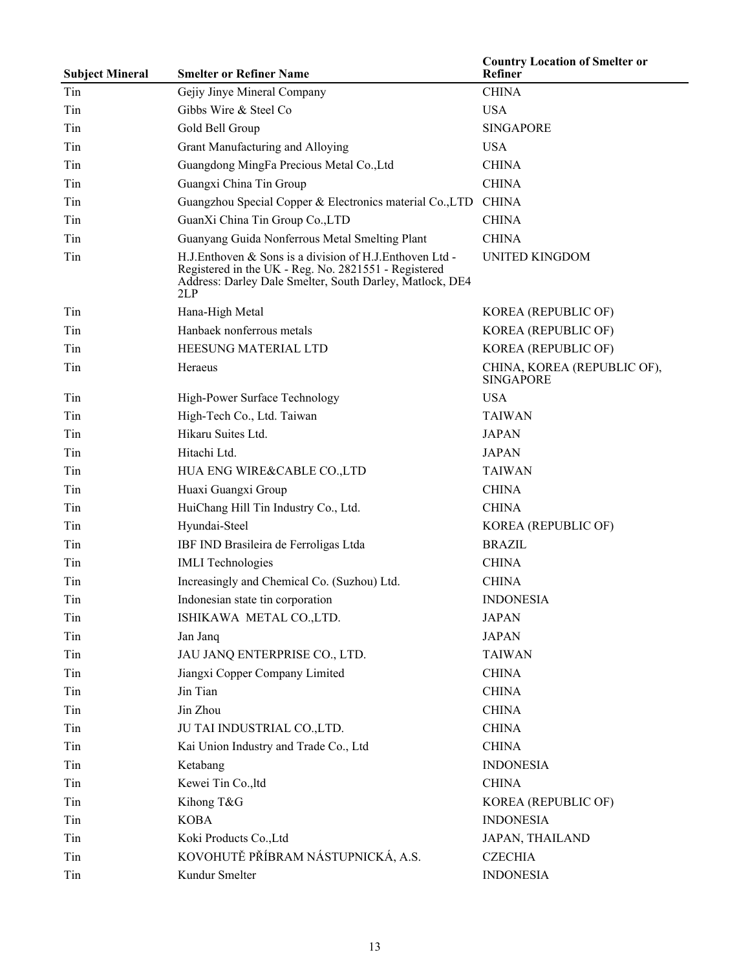| <b>Subject Mineral</b> | <b>Smelter or Refiner Name</b>                                                                                                                                                     | <b>Country Location of Smelter or</b><br>Refiner |
|------------------------|------------------------------------------------------------------------------------------------------------------------------------------------------------------------------------|--------------------------------------------------|
| Tin                    | Gejiy Jinye Mineral Company                                                                                                                                                        | <b>CHINA</b>                                     |
| Tin                    | Gibbs Wire & Steel Co                                                                                                                                                              | <b>USA</b>                                       |
| Tin                    | Gold Bell Group                                                                                                                                                                    | <b>SINGAPORE</b>                                 |
| Tin                    | Grant Manufacturing and Alloying                                                                                                                                                   | <b>USA</b>                                       |
| Tin                    | Guangdong MingFa Precious Metal Co., Ltd                                                                                                                                           | <b>CHINA</b>                                     |
| Tin                    | Guangxi China Tin Group                                                                                                                                                            | <b>CHINA</b>                                     |
| Tin                    | Guangzhou Special Copper & Electronics material Co., LTD                                                                                                                           | <b>CHINA</b>                                     |
| Tin                    | GuanXi China Tin Group Co., LTD                                                                                                                                                    | <b>CHINA</b>                                     |
| Tin                    | Guanyang Guida Nonferrous Metal Smelting Plant                                                                                                                                     | <b>CHINA</b>                                     |
| Tin                    | H.J.Enthoven & Sons is a division of H.J.Enthoven Ltd -<br>Registered in the UK - Reg. No. 2821551 - Registered<br>Address: Darley Dale Smelter, South Darley, Matlock, DE4<br>2LP | UNITED KINGDOM                                   |
| Tin                    | Hana-High Metal                                                                                                                                                                    | KOREA (REPUBLIC OF)                              |
| Tin                    | Hanbaek nonferrous metals                                                                                                                                                          | KOREA (REPUBLIC OF)                              |
| Tin                    | HEESUNG MATERIAL LTD                                                                                                                                                               | KOREA (REPUBLIC OF)                              |
| Tin                    | Heraeus                                                                                                                                                                            | CHINA, KOREA (REPUBLIC OF),<br><b>SINGAPORE</b>  |
| Tin                    | High-Power Surface Technology                                                                                                                                                      | <b>USA</b>                                       |
| Tin                    | High-Tech Co., Ltd. Taiwan                                                                                                                                                         | <b>TAIWAN</b>                                    |
| Tin                    | Hikaru Suites Ltd.                                                                                                                                                                 | <b>JAPAN</b>                                     |
| Tin                    | Hitachi Ltd.                                                                                                                                                                       | <b>JAPAN</b>                                     |
| Tin                    | HUA ENG WIRE&CABLE CO.,LTD                                                                                                                                                         | <b>TAIWAN</b>                                    |
| Tin                    | Huaxi Guangxi Group                                                                                                                                                                | <b>CHINA</b>                                     |
| Tin                    | HuiChang Hill Tin Industry Co., Ltd.                                                                                                                                               | <b>CHINA</b>                                     |
| Tin                    | Hyundai-Steel                                                                                                                                                                      | KOREA (REPUBLIC OF)                              |
| Tin                    | IBF IND Brasileira de Ferroligas Ltda                                                                                                                                              | <b>BRAZIL</b>                                    |
| Tin                    | <b>IMLI</b> Technologies                                                                                                                                                           | <b>CHINA</b>                                     |
| Tin                    | Increasingly and Chemical Co. (Suzhou) Ltd.                                                                                                                                        | <b>CHINA</b>                                     |
| Tin                    | Indonesian state tin corporation                                                                                                                                                   | <b>INDONESIA</b>                                 |
| Tin                    | ISHIKAWA METAL CO.,LTD.                                                                                                                                                            | <b>JAPAN</b>                                     |
| Tin                    | Jan Janq                                                                                                                                                                           | <b>JAPAN</b>                                     |
| Tin                    | JAU JANQ ENTERPRISE CO., LTD.                                                                                                                                                      | <b>TAIWAN</b>                                    |
| Tin                    | Jiangxi Copper Company Limited                                                                                                                                                     | <b>CHINA</b>                                     |
| Tin                    | Jin Tian                                                                                                                                                                           | <b>CHINA</b>                                     |
| Tin                    | Jin Zhou                                                                                                                                                                           | <b>CHINA</b>                                     |
| Tin                    | JU TAI INDUSTRIAL CO., LTD.                                                                                                                                                        | <b>CHINA</b>                                     |
| Tin                    | Kai Union Industry and Trade Co., Ltd                                                                                                                                              | <b>CHINA</b>                                     |
| Tin                    | Ketabang                                                                                                                                                                           | <b>INDONESIA</b>                                 |
| Tin                    | Kewei Tin Co., ltd                                                                                                                                                                 | <b>CHINA</b>                                     |
| Tin                    | Kihong T&G                                                                                                                                                                         | KOREA (REPUBLIC OF)                              |
| Tin                    | <b>KOBA</b>                                                                                                                                                                        | <b>INDONESIA</b>                                 |
| Tin                    | Koki Products Co., Ltd                                                                                                                                                             | JAPAN, THAILAND                                  |
| Tin                    | KOVOHUTĚ PŘÍBRAM NÁSTUPNICKÁ, A.S.                                                                                                                                                 | <b>CZECHIA</b>                                   |
| Tin                    | Kundur Smelter                                                                                                                                                                     | <b>INDONESIA</b>                                 |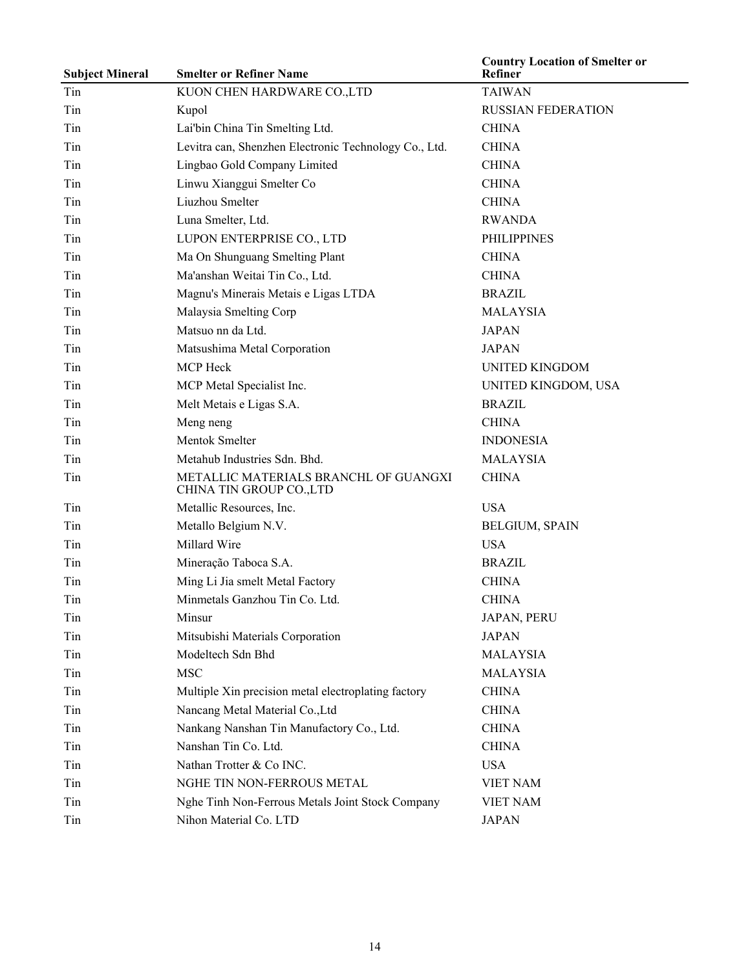| <b>Subject Mineral</b> | <b>Smelter or Refiner Name</b>                                    | <b>Country Location of Smelter or</b><br>Refiner |
|------------------------|-------------------------------------------------------------------|--------------------------------------------------|
| Tin                    | KUON CHEN HARDWARE CO., LTD                                       | <b>TAIWAN</b>                                    |
| Tin                    | Kupol                                                             | <b>RUSSIAN FEDERATION</b>                        |
| Tin                    | Lai'bin China Tin Smelting Ltd.                                   | <b>CHINA</b>                                     |
| Tin                    | Levitra can, Shenzhen Electronic Technology Co., Ltd.             | <b>CHINA</b>                                     |
| Tin                    | Lingbao Gold Company Limited                                      | <b>CHINA</b>                                     |
| Tin                    | Linwu Xianggui Smelter Co                                         | <b>CHINA</b>                                     |
| Tin                    | Liuzhou Smelter                                                   | <b>CHINA</b>                                     |
| Tin                    | Luna Smelter, Ltd.                                                | <b>RWANDA</b>                                    |
| Tin                    | LUPON ENTERPRISE CO., LTD                                         | <b>PHILIPPINES</b>                               |
| Tin                    | Ma On Shunguang Smelting Plant                                    | <b>CHINA</b>                                     |
| Tin                    | Ma'anshan Weitai Tin Co., Ltd.                                    | <b>CHINA</b>                                     |
| Tin                    | Magnu's Minerais Metais e Ligas LTDA                              | <b>BRAZIL</b>                                    |
| Tin                    | Malaysia Smelting Corp                                            | <b>MALAYSIA</b>                                  |
| Tin                    | Matsuo nn da Ltd.                                                 | <b>JAPAN</b>                                     |
| Tin                    | Matsushima Metal Corporation                                      | <b>JAPAN</b>                                     |
| Tin                    | <b>MCP</b> Heck                                                   | UNITED KINGDOM                                   |
| Tin                    | MCP Metal Specialist Inc.                                         | UNITED KINGDOM, USA                              |
| Tin                    | Melt Metais e Ligas S.A.                                          | <b>BRAZIL</b>                                    |
| Tin                    | Meng neng                                                         | <b>CHINA</b>                                     |
| Tin                    | Mentok Smelter                                                    | <b>INDONESIA</b>                                 |
| Tin                    | Metahub Industries Sdn. Bhd.                                      | <b>MALAYSIA</b>                                  |
| Tin                    | METALLIC MATERIALS BRANCHL OF GUANGXI<br>CHINA TIN GROUP CO., LTD | <b>CHINA</b>                                     |
| Tin                    | Metallic Resources, Inc.                                          | <b>USA</b>                                       |
| Tin                    | Metallo Belgium N.V.                                              | <b>BELGIUM, SPAIN</b>                            |
| Tin                    | Millard Wire                                                      | <b>USA</b>                                       |
| Tin                    | Mineração Taboca S.A.                                             | <b>BRAZIL</b>                                    |
| Tin                    | Ming Li Jia smelt Metal Factory                                   | <b>CHINA</b>                                     |
| Tin                    | Minmetals Ganzhou Tin Co. Ltd.                                    | <b>CHINA</b>                                     |
| Tin                    | Minsur                                                            | JAPAN, PERU                                      |
| Tin                    | Mitsubishi Materials Corporation                                  | <b>JAPAN</b>                                     |
| Tin                    | Modeltech Sdn Bhd                                                 | <b>MALAYSIA</b>                                  |
| Tin                    | <b>MSC</b>                                                        | <b>MALAYSIA</b>                                  |
| Tin                    | Multiple Xin precision metal electroplating factory               | <b>CHINA</b>                                     |
| Tin                    | Nancang Metal Material Co., Ltd                                   | <b>CHINA</b>                                     |
| Tin                    | Nankang Nanshan Tin Manufactory Co., Ltd.                         | <b>CHINA</b>                                     |
| Tin                    | Nanshan Tin Co. Ltd.                                              | <b>CHINA</b>                                     |
| Tin                    | Nathan Trotter & Co INC.                                          | <b>USA</b>                                       |
| Tin                    | NGHE TIN NON-FERROUS METAL                                        | <b>VIET NAM</b>                                  |
| Tin                    | Nghe Tinh Non-Ferrous Metals Joint Stock Company                  | <b>VIET NAM</b>                                  |
| Tin                    | Nihon Material Co. LTD                                            | <b>JAPAN</b>                                     |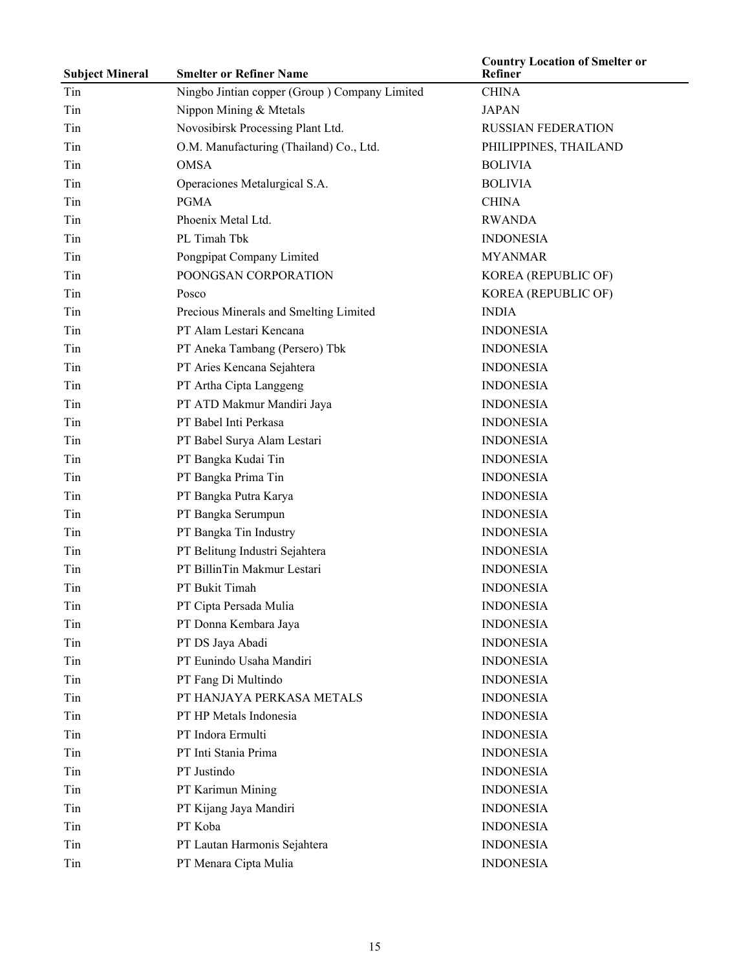| <b>Subject Mineral</b> | <b>Smelter or Refiner Name</b>                | <b>Country Location of Smelter or</b><br>Refiner |
|------------------------|-----------------------------------------------|--------------------------------------------------|
| Tin                    | Ningbo Jintian copper (Group) Company Limited | <b>CHINA</b>                                     |
| Tin                    | Nippon Mining & Mtetals                       | <b>JAPAN</b>                                     |
| Tin                    | Novosibirsk Processing Plant Ltd.             | <b>RUSSIAN FEDERATION</b>                        |
| Tin                    | O.M. Manufacturing (Thailand) Co., Ltd.       | PHILIPPINES, THAILAND                            |
| Tin                    | <b>OMSA</b>                                   | <b>BOLIVIA</b>                                   |
| Tin                    | Operaciones Metalurgical S.A.                 | <b>BOLIVIA</b>                                   |
| Tin                    | <b>PGMA</b>                                   | <b>CHINA</b>                                     |
| Tin                    | Phoenix Metal Ltd.                            | <b>RWANDA</b>                                    |
| Tin                    | PL Timah Tbk                                  | <b>INDONESIA</b>                                 |
| Tin                    | Pongpipat Company Limited                     | <b>MYANMAR</b>                                   |
| Tin                    | POONGSAN CORPORATION                          | KOREA (REPUBLIC OF)                              |
| Tin                    | Posco                                         | KOREA (REPUBLIC OF)                              |
| Tin                    | Precious Minerals and Smelting Limited        | <b>INDIA</b>                                     |
| Tin                    | PT Alam Lestari Kencana                       | <b>INDONESIA</b>                                 |
| Tin                    | PT Aneka Tambang (Persero) Tbk                | <b>INDONESIA</b>                                 |
| Tin                    | PT Aries Kencana Sejahtera                    | <b>INDONESIA</b>                                 |
| Tin                    | PT Artha Cipta Langgeng                       | <b>INDONESIA</b>                                 |
| Tin                    | PT ATD Makmur Mandiri Jaya                    | <b>INDONESIA</b>                                 |
| Tin                    | PT Babel Inti Perkasa                         | <b>INDONESIA</b>                                 |
| Tin                    | PT Babel Surya Alam Lestari                   | <b>INDONESIA</b>                                 |
| Tin                    | PT Bangka Kudai Tin                           | <b>INDONESIA</b>                                 |
| Tin                    | PT Bangka Prima Tin                           | <b>INDONESIA</b>                                 |
| Tin                    | PT Bangka Putra Karya                         | <b>INDONESIA</b>                                 |
| Tin                    | PT Bangka Serumpun                            | <b>INDONESIA</b>                                 |
| Tin                    | PT Bangka Tin Industry                        | <b>INDONESIA</b>                                 |
| Tin                    | PT Belitung Industri Sejahtera                | <b>INDONESIA</b>                                 |
| Tin                    | PT BillinTin Makmur Lestari                   | <b>INDONESIA</b>                                 |
| Tin                    | PT Bukit Timah                                | <b>INDONESIA</b>                                 |
| Tin                    | PT Cipta Persada Mulia                        | <b>INDONESIA</b>                                 |
| Tin                    | PT Donna Kembara Jaya                         | <b>INDONESIA</b>                                 |
| Tin                    | PT DS Jaya Abadi                              | <b>INDONESIA</b>                                 |
| Tin                    | PT Eunindo Usaha Mandiri                      | <b>INDONESIA</b>                                 |
| Tin                    | PT Fang Di Multindo                           | <b>INDONESIA</b>                                 |
| Tin                    | PT HANJAYA PERKASA METALS                     | <b>INDONESIA</b>                                 |
| Tin                    | PT HP Metals Indonesia                        | <b>INDONESIA</b>                                 |
| Tin                    | PT Indora Ermulti                             | <b>INDONESIA</b>                                 |
| Tin                    | PT Inti Stania Prima                          | <b>INDONESIA</b>                                 |
| Tin                    | PT Justindo                                   | <b>INDONESIA</b>                                 |
| Tin                    | PT Karimun Mining                             | <b>INDONESIA</b>                                 |
| Tin                    | PT Kijang Jaya Mandiri                        | <b>INDONESIA</b>                                 |
| Tin                    | PT Koba                                       | <b>INDONESIA</b>                                 |
| Tin                    | PT Lautan Harmonis Sejahtera                  | <b>INDONESIA</b>                                 |
| Tin                    | PT Menara Cipta Mulia                         | <b>INDONESIA</b>                                 |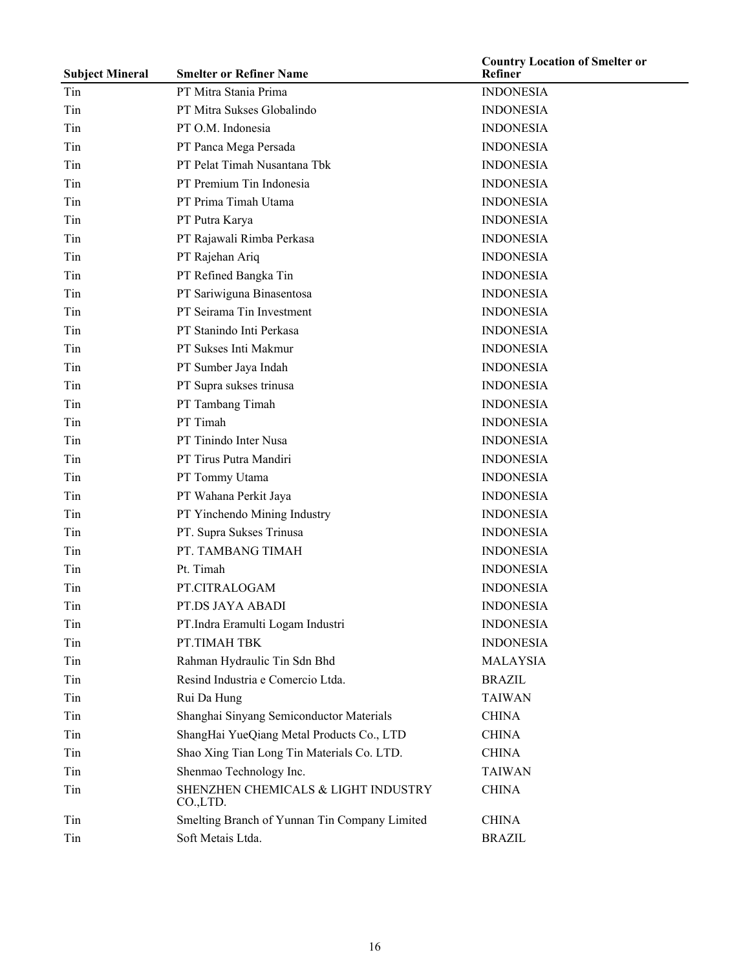| <b>Subject Mineral</b> | <b>Smelter or Refiner Name</b>                  | <b>Country Location of Smelter or</b><br><b>Refiner</b> |
|------------------------|-------------------------------------------------|---------------------------------------------------------|
| Tin                    | PT Mitra Stania Prima                           | <b>INDONESIA</b>                                        |
| Tin                    | PT Mitra Sukses Globalindo                      | <b>INDONESIA</b>                                        |
| Tin                    | PT O.M. Indonesia                               | <b>INDONESIA</b>                                        |
| Tin                    | PT Panca Mega Persada                           | <b>INDONESIA</b>                                        |
| Tin                    | PT Pelat Timah Nusantana Tbk                    | <b>INDONESIA</b>                                        |
| Tin                    | PT Premium Tin Indonesia                        | <b>INDONESIA</b>                                        |
| Tin                    | PT Prima Timah Utama                            | <b>INDONESIA</b>                                        |
| Tin                    | PT Putra Karya                                  | <b>INDONESIA</b>                                        |
| Tin                    | PT Rajawali Rimba Perkasa                       | <b>INDONESIA</b>                                        |
| Tin                    | PT Rajehan Ariq                                 | <b>INDONESIA</b>                                        |
| Tin                    | PT Refined Bangka Tin                           | <b>INDONESIA</b>                                        |
| Tin                    | PT Sariwiguna Binasentosa                       | <b>INDONESIA</b>                                        |
| Tin                    | PT Seirama Tin Investment                       | <b>INDONESIA</b>                                        |
| Tin                    | PT Stanindo Inti Perkasa                        | <b>INDONESIA</b>                                        |
| Tin                    | PT Sukses Inti Makmur                           | <b>INDONESIA</b>                                        |
| Tin                    | PT Sumber Jaya Indah                            | <b>INDONESIA</b>                                        |
| Tin                    | PT Supra sukses trinusa                         | <b>INDONESIA</b>                                        |
| Tin                    | PT Tambang Timah                                | <b>INDONESIA</b>                                        |
| Tin                    | PT Timah                                        | <b>INDONESIA</b>                                        |
| Tin                    | PT Tinindo Inter Nusa                           | <b>INDONESIA</b>                                        |
| Tin                    | PT Tirus Putra Mandiri                          | <b>INDONESIA</b>                                        |
| Tin                    | PT Tommy Utama                                  | <b>INDONESIA</b>                                        |
| Tin                    | PT Wahana Perkit Jaya                           | <b>INDONESIA</b>                                        |
| Tin                    | PT Yinchendo Mining Industry                    | <b>INDONESIA</b>                                        |
| Tin                    | PT. Supra Sukses Trinusa                        | <b>INDONESIA</b>                                        |
| Tin                    | PT. TAMBANG TIMAH                               | <b>INDONESIA</b>                                        |
| Tin                    | Pt. Timah                                       | <b>INDONESIA</b>                                        |
| Tin                    | PT.CITRALOGAM                                   | <b>INDONESIA</b>                                        |
| Tin                    | PT.DS JAYA ABADI                                | <b>INDONESIA</b>                                        |
| Tin                    | PT.Indra Eramulti Logam Industri                | <b>INDONESIA</b>                                        |
| Tin                    | PT.TIMAH TBK                                    | <b>INDONESIA</b>                                        |
| Tin                    | Rahman Hydraulic Tin Sdn Bhd                    | <b>MALAYSIA</b>                                         |
| Tin                    | Resind Industria e Comercio Ltda.               | <b>BRAZIL</b>                                           |
| Tin                    | Rui Da Hung                                     | <b>TAIWAN</b>                                           |
| Tin                    | Shanghai Sinyang Semiconductor Materials        | <b>CHINA</b>                                            |
| Tin                    | ShangHai YueQiang Metal Products Co., LTD       | <b>CHINA</b>                                            |
| Tin                    | Shao Xing Tian Long Tin Materials Co. LTD.      | <b>CHINA</b>                                            |
| Tin                    | Shenmao Technology Inc.                         | <b>TAIWAN</b>                                           |
| Tin                    | SHENZHEN CHEMICALS & LIGHT INDUSTRY<br>CO.,LTD. | <b>CHINA</b>                                            |
| Tin                    | Smelting Branch of Yunnan Tin Company Limited   | <b>CHINA</b>                                            |
| Tin                    | Soft Metais Ltda.                               | <b>BRAZIL</b>                                           |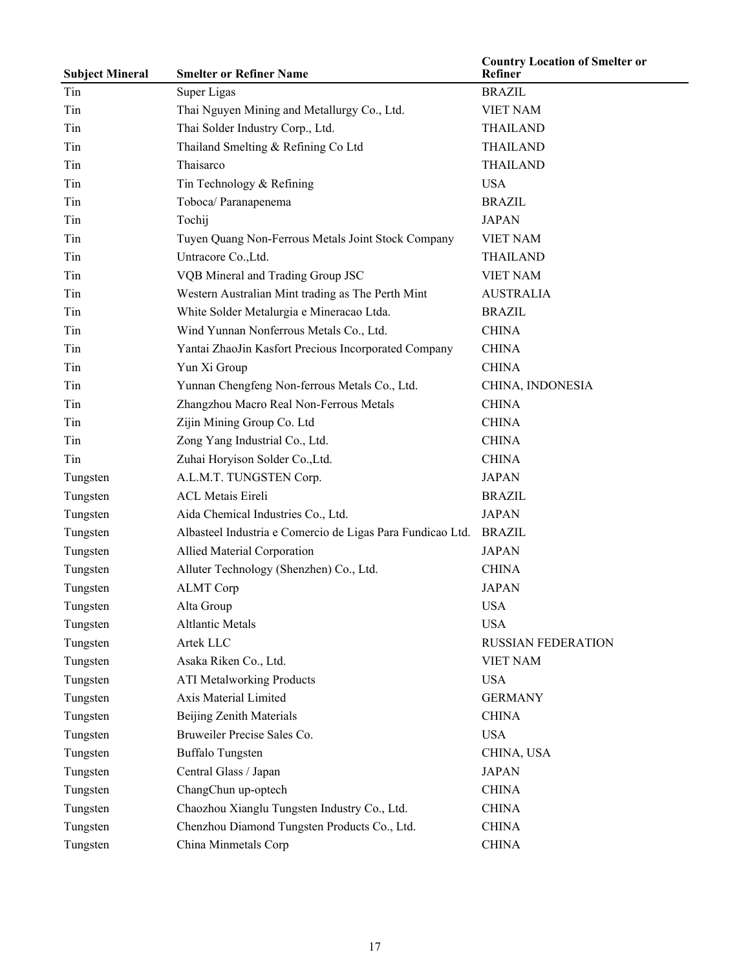| <b>Subject Mineral</b> | <b>Smelter or Refiner Name</b>                             | <b>Country Location of Smelter or</b><br>Refiner |
|------------------------|------------------------------------------------------------|--------------------------------------------------|
| Tin                    | Super Ligas                                                | <b>BRAZIL</b>                                    |
| Tin                    | Thai Nguyen Mining and Metallurgy Co., Ltd.                | <b>VIET NAM</b>                                  |
| Tin                    | Thai Solder Industry Corp., Ltd.                           | <b>THAILAND</b>                                  |
| Tin                    | Thailand Smelting & Refining Co Ltd                        | <b>THAILAND</b>                                  |
| Tin                    | Thaisarco                                                  | <b>THAILAND</b>                                  |
| Tin                    | Tin Technology & Refining                                  | <b>USA</b>                                       |
| Tin                    | Toboca/ Paranapenema                                       | <b>BRAZIL</b>                                    |
| Tin                    | Tochij                                                     | <b>JAPAN</b>                                     |
| Tin                    | Tuyen Quang Non-Ferrous Metals Joint Stock Company         | <b>VIET NAM</b>                                  |
| Tin                    | Untracore Co., Ltd.                                        | <b>THAILAND</b>                                  |
| Tin                    | VQB Mineral and Trading Group JSC                          | <b>VIET NAM</b>                                  |
| Tin                    | Western Australian Mint trading as The Perth Mint          | <b>AUSTRALIA</b>                                 |
| Tin                    | White Solder Metalurgia e Mineracao Ltda.                  | <b>BRAZIL</b>                                    |
| Tin                    | Wind Yunnan Nonferrous Metals Co., Ltd.                    | <b>CHINA</b>                                     |
| Tin                    | Yantai ZhaoJin Kasfort Precious Incorporated Company       | <b>CHINA</b>                                     |
| Tin                    | Yun Xi Group                                               | <b>CHINA</b>                                     |
| Tin                    | Yunnan Chengfeng Non-ferrous Metals Co., Ltd.              | CHINA, INDONESIA                                 |
| Tin                    | Zhangzhou Macro Real Non-Ferrous Metals                    | <b>CHINA</b>                                     |
| Tin                    | Zijin Mining Group Co. Ltd                                 | <b>CHINA</b>                                     |
| Tin                    | Zong Yang Industrial Co., Ltd.                             | <b>CHINA</b>                                     |
| Tin                    | Zuhai Horyison Solder Co., Ltd.                            | <b>CHINA</b>                                     |
| Tungsten               | A.L.M.T. TUNGSTEN Corp.                                    | <b>JAPAN</b>                                     |
| Tungsten               | <b>ACL Metais Eireli</b>                                   | <b>BRAZIL</b>                                    |
| Tungsten               | Aida Chemical Industries Co., Ltd.                         | <b>JAPAN</b>                                     |
| Tungsten               | Albasteel Industria e Comercio de Ligas Para Fundicao Ltd. | <b>BRAZIL</b>                                    |
| Tungsten               | Allied Material Corporation                                | <b>JAPAN</b>                                     |
| Tungsten               | Alluter Technology (Shenzhen) Co., Ltd.                    | <b>CHINA</b>                                     |
| Tungsten               | <b>ALMT</b> Corp                                           | <b>JAPAN</b>                                     |
| Tungsten               | Alta Group                                                 | <b>USA</b>                                       |
| Tungsten               | <b>Altlantic Metals</b>                                    | <b>USA</b>                                       |
| Tungsten               | Artek LLC                                                  | <b>RUSSIAN FEDERATION</b>                        |
| Tungsten               | Asaka Riken Co., Ltd.                                      | <b>VIET NAM</b>                                  |
| Tungsten               | <b>ATI Metalworking Products</b>                           | <b>USA</b>                                       |
| Tungsten               | Axis Material Limited                                      | <b>GERMANY</b>                                   |
| Tungsten               | Beijing Zenith Materials                                   | <b>CHINA</b>                                     |
| Tungsten               | Bruweiler Precise Sales Co.                                | <b>USA</b>                                       |
| Tungsten               | <b>Buffalo Tungsten</b>                                    | CHINA, USA                                       |
| Tungsten               | Central Glass / Japan                                      | <b>JAPAN</b>                                     |
| Tungsten               | ChangChun up-optech                                        | <b>CHINA</b>                                     |
| Tungsten               | Chaozhou Xianglu Tungsten Industry Co., Ltd.               | <b>CHINA</b>                                     |
| Tungsten               | Chenzhou Diamond Tungsten Products Co., Ltd.               | <b>CHINA</b>                                     |
| Tungsten               | China Minmetals Corp                                       | <b>CHINA</b>                                     |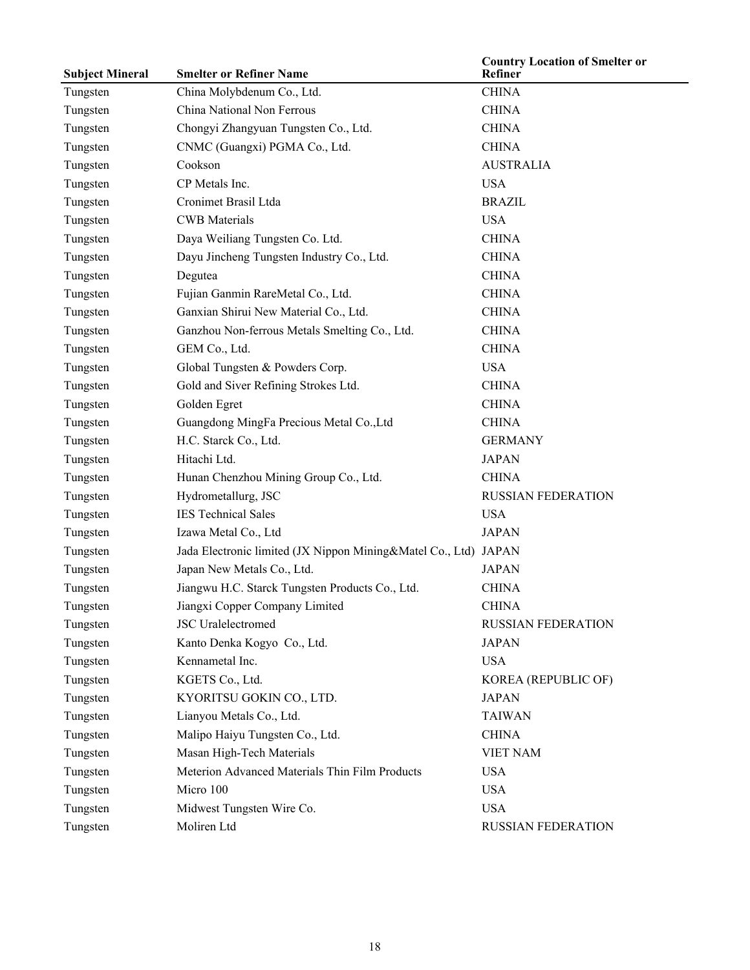| <b>Subject Mineral</b> | <b>Smelter or Refiner Name</b>                                  | <b>Country Location of Smelter or</b><br>Refiner |
|------------------------|-----------------------------------------------------------------|--------------------------------------------------|
| Tungsten               | China Molybdenum Co., Ltd.                                      | <b>CHINA</b>                                     |
| Tungsten               | China National Non Ferrous                                      | <b>CHINA</b>                                     |
| Tungsten               | Chongyi Zhangyuan Tungsten Co., Ltd.                            | <b>CHINA</b>                                     |
| Tungsten               | CNMC (Guangxi) PGMA Co., Ltd.                                   | <b>CHINA</b>                                     |
| Tungsten               | Cookson                                                         | <b>AUSTRALIA</b>                                 |
| Tungsten               | CP Metals Inc.                                                  | <b>USA</b>                                       |
| Tungsten               | Cronimet Brasil Ltda                                            | <b>BRAZIL</b>                                    |
| Tungsten               | <b>CWB</b> Materials                                            | <b>USA</b>                                       |
| Tungsten               | Daya Weiliang Tungsten Co. Ltd.                                 | <b>CHINA</b>                                     |
| Tungsten               | Dayu Jincheng Tungsten Industry Co., Ltd.                       | <b>CHINA</b>                                     |
| Tungsten               | Degutea                                                         | <b>CHINA</b>                                     |
| Tungsten               | Fujian Ganmin RareMetal Co., Ltd.                               | <b>CHINA</b>                                     |
| Tungsten               | Ganxian Shirui New Material Co., Ltd.                           | <b>CHINA</b>                                     |
| Tungsten               | Ganzhou Non-ferrous Metals Smelting Co., Ltd.                   | <b>CHINA</b>                                     |
| Tungsten               | GEM Co., Ltd.                                                   | <b>CHINA</b>                                     |
| Tungsten               | Global Tungsten & Powders Corp.                                 | <b>USA</b>                                       |
| Tungsten               | Gold and Siver Refining Strokes Ltd.                            | <b>CHINA</b>                                     |
| Tungsten               | Golden Egret                                                    | <b>CHINA</b>                                     |
| Tungsten               | Guangdong MingFa Precious Metal Co., Ltd                        | <b>CHINA</b>                                     |
| Tungsten               | H.C. Starck Co., Ltd.                                           | <b>GERMANY</b>                                   |
| Tungsten               | Hitachi Ltd.                                                    | <b>JAPAN</b>                                     |
| Tungsten               | Hunan Chenzhou Mining Group Co., Ltd.                           | <b>CHINA</b>                                     |
| Tungsten               | Hydrometallurg, JSC                                             | <b>RUSSIAN FEDERATION</b>                        |
| Tungsten               | <b>IES Technical Sales</b>                                      | <b>USA</b>                                       |
| Tungsten               | Izawa Metal Co., Ltd                                            | <b>JAPAN</b>                                     |
| Tungsten               | Jada Electronic limited (JX Nippon Mining&Matel Co., Ltd) JAPAN |                                                  |
| Tungsten               | Japan New Metals Co., Ltd.                                      | <b>JAPAN</b>                                     |
| Tungsten               | Jiangwu H.C. Starck Tungsten Products Co., Ltd.                 | <b>CHINA</b>                                     |
| Tungsten               | Jiangxi Copper Company Limited                                  | <b>CHINA</b>                                     |
| Tungsten               | <b>JSC</b> Uralelectromed                                       | RUSSIAN FEDERATION                               |
| Tungsten               | Kanto Denka Kogyo Co., Ltd.                                     | <b>JAPAN</b>                                     |
| Tungsten               | Kennametal Inc.                                                 | <b>USA</b>                                       |
| Tungsten               | KGETS Co., Ltd.                                                 | KOREA (REPUBLIC OF)                              |
| Tungsten               | KYORITSU GOKIN CO., LTD.                                        | <b>JAPAN</b>                                     |
| Tungsten               | Lianyou Metals Co., Ltd.                                        | <b>TAIWAN</b>                                    |
| Tungsten               | Malipo Haiyu Tungsten Co., Ltd.                                 | <b>CHINA</b>                                     |
| Tungsten               | Masan High-Tech Materials                                       | <b>VIET NAM</b>                                  |
| Tungsten               | Meterion Advanced Materials Thin Film Products                  | <b>USA</b>                                       |
| Tungsten               | Micro 100                                                       | <b>USA</b>                                       |
| Tungsten               | Midwest Tungsten Wire Co.                                       | <b>USA</b>                                       |
| Tungsten               | Moliren Ltd                                                     | RUSSIAN FEDERATION                               |